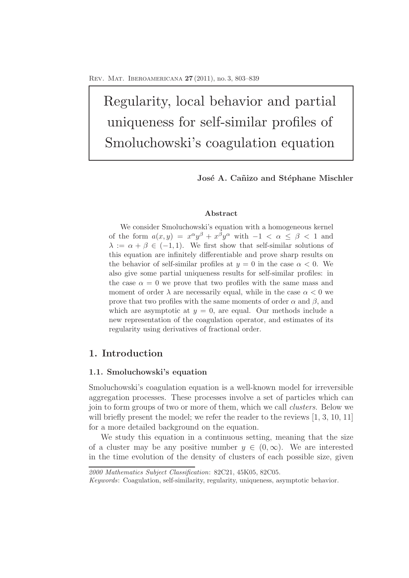Regularity, local behavior and partial uniqueness for self-similar profiles of Smoluchowski's coagulation equation

José A. Cañizo and Stéphane Mischler

### **Abstract**

We consider Smoluchowski's equation with a homogeneous kernel of the form  $a(x, y) = x^{\alpha}y^{\beta} + x^{\beta}y^{\alpha}$  with  $-1 < \alpha \leq \beta < 1$  and  $\lambda := \alpha + \beta \in (-1, 1)$ . We first show that self-similar solutions of this equation are infinitely differentiable and prove sharp results on the behavior of self-similar profiles at  $y = 0$  in the case  $\alpha < 0$ . We also give some partial uniqueness results for self-similar profiles: in the case  $\alpha = 0$  we prove that two profiles with the same mass and moment of order  $\lambda$  are necessarily equal, while in the case  $\alpha < 0$  we prove that two profiles with the same moments of order  $\alpha$  and  $\beta$ , and which are asymptotic at  $y = 0$ , are equal. Our methods include a new representation of the coagulation operator, and estimates of its regularity using derivatives of fractional order.

# **1. Introduction**

### **1.1. Smoluchowski's equation**

Smoluchowski's coagulation equation is a well-known model for irreversible aggregation processes. These processes involve a set of particles which can join to form groups of two or more of them, which we call clusters. Below we will briefly present the model; we refer the reader to the reviews [1, 3, 10, 11] for a more detailed background on the equation.

We study this equation in a continuous setting, meaning that the size of a cluster may be any positive number  $y \in (0, \infty)$ . We are interested in the time evolution of the density of clusters of each possible size, given

*<sup>2000</sup> Mathematics Subject Classification*: 82C21, 45K05, 82C05.

*Keywords*: Coagulation, self-similarity, regularity, uniqueness, asymptotic behavior.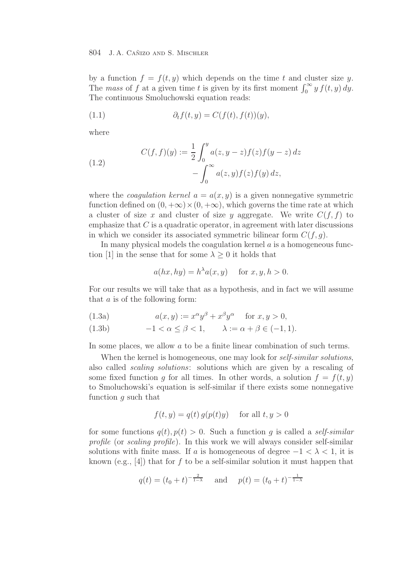by a function  $f = f(t, y)$  which depends on the time t and cluster size y. The mass of f at a given time t is given by its first moment  $\int_0^\infty y f(t, y) dy$ . The continuous Smoluchowski equation reads:

(1.1) 
$$
\partial_t f(t, y) = C(f(t), f(t))(y),
$$

where

(1.2) 
$$
C(f, f)(y) := \frac{1}{2} \int_0^y a(z, y - z) f(z) f(y - z) dz - \int_0^\infty a(z, y) f(z) f(y) dz,
$$

where the *coagulation kernel*  $a = a(x, y)$  is a given nonnegative symmetric function defined on  $(0, +\infty) \times (0, +\infty)$ , which governs the time rate at which a cluster of size x and cluster of size y aggregate. We write  $C(f, f)$  to emphasize that  $C$  is a quadratic operator, in agreement with later discussions in which we consider its associated symmetric bilinear form  $C(f, g)$ .

In many physical models the coagulation kernel  $\alpha$  is a homogeneous function [1] in the sense that for some  $\lambda \geq 0$  it holds that

$$
a(hx, hy) = h^{\lambda}a(x, y) \quad \text{ for } x, y, h > 0.
$$

For our results we will take that as a hypothesis, and in fact we will assume that a is of the following form:

(1.3a) 
$$
a(x,y) := x^{\alpha}y^{\beta} + x^{\beta}y^{\alpha} \quad \text{for } x, y > 0,
$$

(1.3b) 
$$
-1 < \alpha \leq \beta < 1, \qquad \lambda := \alpha + \beta \in (-1, 1).
$$

In some places, we allow a to be a finite linear combination of such terms.

When the kernel is homogeneous, one may look for *self-similar solutions*, also called scaling solutions: solutions which are given by a rescaling of some fixed function g for all times. In other words, a solution  $f = f(t, y)$ to Smoluchowski's equation is self-similar if there exists some nonnegative function g such that

$$
f(t, y) = q(t) g(p(t)y) \quad \text{for all } t, y > 0
$$

for some functions  $q(t)$ ,  $p(t) > 0$ . Such a function q is called a *self-similar* profile (or scaling profile). In this work we will always consider self-similar solutions with finite mass. If a is homogeneous of degree  $-1 < \lambda < 1$ , it is known (e.g., [4]) that for f to be a self-similar solution it must happen that

$$
q(t) = (t_0 + t)^{-\frac{2}{1-\lambda}}
$$
 and  $p(t) = (t_0 + t)^{-\frac{1}{1-\lambda}}$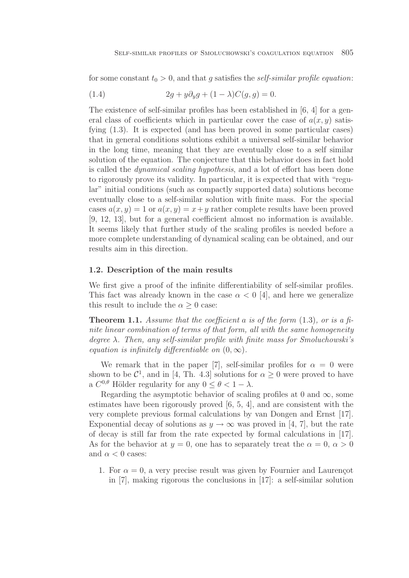for some constant  $t_0 > 0$ , and that g satisfies the self-similar profile equation:

(1.4) 
$$
2g + y\partial_y g + (1 - \lambda)C(g, g) = 0.
$$

The existence of self-similar profiles has been established in [6, 4] for a general class of coefficients which in particular cover the case of  $a(x, y)$  satisfying (1.3). It is expected (and has been proved in some particular cases) that in general conditions solutions exhibit a universal self-similar behavior in the long time, meaning that they are eventually close to a self similar solution of the equation. The conjecture that this behavior does in fact hold is called the dynamical scaling hypothesis, and a lot of effort has been done to rigorously prove its validity. In particular, it is expected that with "regular" initial conditions (such as compactly supported data) solutions become eventually close to a self-similar solution with finite mass. For the special cases  $a(x, y) = 1$  or  $a(x, y) = x + y$  rather complete results have been proved [9, 12, 13], but for a general coefficient almost no information is available. It seems likely that further study of the scaling profiles is needed before a more complete understanding of dynamical scaling can be obtained, and our results aim in this direction.

### **1.2. Description of the main results**

We first give a proof of the infinite differentiability of self-similar profiles. This fact was already known in the case  $\alpha < 0$  [4], and here we generalize this result to include the  $\alpha \geq 0$  case:

**Theorem 1.1.** Assume that the coefficient a is of the form  $(1.3)$ , or is a finite linear combination of terms of that form, all with the same homogeneity degree  $\lambda$ . Then, any self-similar profile with finite mass for Smoluchowski's equation is infinitely differentiable on  $(0, \infty)$ .

We remark that in the paper [7], self-similar profiles for  $\alpha = 0$  were shown to be  $\mathcal{C}^1$ , and in [4, Th. 4.3] solutions for  $\alpha > 0$  were proved to have a  $C^{0,\theta}$  Hölder regularity for any  $0 \leq \theta \leq 1 - \lambda$ .

Regarding the asymptotic behavior of scaling profiles at 0 and  $\infty$ , some estimates have been rigorously proved [6, 5, 4], and are consistent with the very complete previous formal calculations by van Dongen and Ernst [17]. Exponential decay of solutions as  $y \to \infty$  was proved in [4, 7], but the rate of decay is still far from the rate expected by formal calculations in [17]. As for the behavior at  $y = 0$ , one has to separately treat the  $\alpha = 0$ ,  $\alpha > 0$ and  $\alpha < 0$  cases:

1. For  $\alpha = 0$ , a very precise result was given by Fournier and Laurençot in [7], making rigorous the conclusions in [17]: a self-similar solution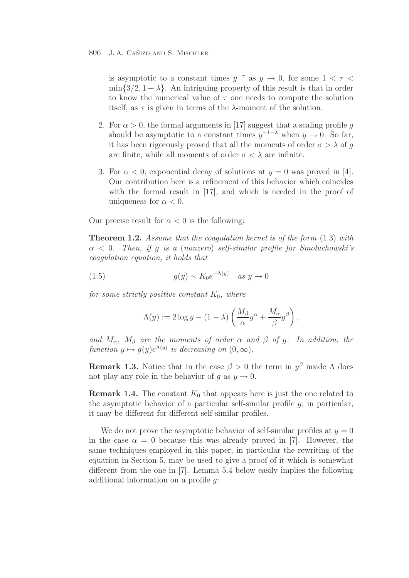is asymptotic to a constant times  $y^{-\tau}$  as  $y \to 0$ , for some  $1 < \tau <$  $\min\{3/2, 1 + \lambda\}.$  An intriguing property of this result is that in order to know the numerical value of  $\tau$  one needs to compute the solution itself, as  $\tau$  is given in terms of the  $\lambda$ -moment of the solution.

- 2. For  $\alpha > 0$ , the formal arguments in [17] suggest that a scaling profile q should be asymptotic to a constant times  $y^{-1-\lambda}$  when  $y \to 0$ . So far, it has been rigorously proved that all the moments of order  $\sigma > \lambda$  of g are finite, while all moments of order  $\sigma < \lambda$  are infinite.
- 3. For  $\alpha < 0$ , exponential decay of solutions at  $y = 0$  was proved in [4]. Our contribution here is a refinement of this behavior which coincides with the formal result in [17], and which is needed in the proof of uniqueness for  $\alpha < 0$ .

Our precise result for  $\alpha < 0$  is the following:

**Theorem 1.2.** Assume that the coagulation kernel is of the form  $(1.3)$  with  $\alpha$  < 0. Then, if q is a (nonzero) self-similar profile for Smoluchowski's coagulation equation, it holds that

(1.5) 
$$
g(y) \sim K_0 e^{-\Lambda(y)} \quad \text{as } y \to 0
$$

for some strictly positive constant  $K_0$ , where

$$
\Lambda(y) := 2 \log y - (1 - \lambda) \left( \frac{M_\beta}{\alpha} y^\alpha + \frac{M_\alpha}{\beta} y^\beta \right),
$$

and  $M_{\alpha}$ ,  $M_{\beta}$  are the moments of order  $\alpha$  and  $\beta$  of g. In addition, the function  $y \mapsto q(y)e^{\Lambda(y)}$  is decreasing on  $(0, \infty)$ .

**Remark 1.3.** Notice that in the case  $\beta > 0$  the term in  $y^{\beta}$  inside  $\Lambda$  does not play any role in the behavior of g as  $y \to 0$ .

**Remark 1.4.** The constant  $K_0$  that appears here is just the one related to the asymptotic behavior of a particular self-similar profile  $q$ ; in particular, it may be different for different self-similar profiles.

We do not prove the asymptotic behavior of self-similar profiles at  $y = 0$ in the case  $\alpha = 0$  because this was already proved in [7]. However, the same techniques employed in this paper, in particular the rewriting of the equation in Section 5, may be used to give a proof of it which is somewhat different from the one in [7]. Lemma 5.4 below easily implies the following additional information on a profile g: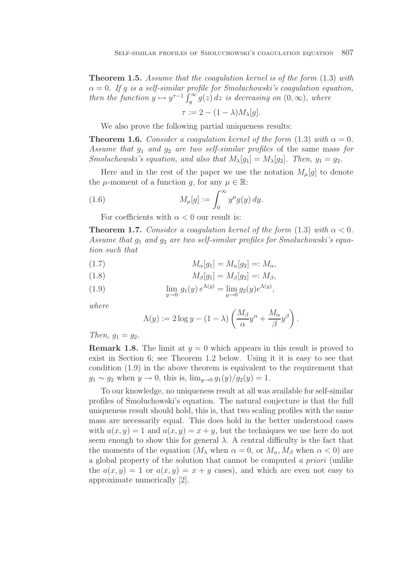**Theorem 1.5.** Assume that the coagulation kernel is of the form  $(1.3)$  with  $\alpha = 0$ . If q is a self-similar profile for Smoluchowski's coagulation equation, then the function  $y \mapsto y^{\tau-1} \int_y^{\infty} g(z) dz$  is decreasing on  $(0, \infty)$ , where

$$
\tau := 2 - (1 - \lambda) M_{\lambda}[g].
$$

We also prove the following partial uniqueness results:

**Theorem 1.6.** Consider a coagulation kernel of the form  $(1.3)$  with  $\alpha = 0$ . Assume that  $q_1$  and  $q_2$  are two self-similar profiles of the same mass for Smoluchowski's equation, and also that  $M_{\lambda}[g_1] = M_{\lambda}[g_2]$ . Then,  $g_1 = g_2$ .

Here and in the rest of the paper we use the notation  $M_{\mu}[g]$  to denote the  $\mu$ -moment of a function g, for any  $\mu \in \mathbb{R}$ :

(1.6) 
$$
M_{\mu}[g] := \int_0^{\infty} y^{\mu} g(y) \, dy.
$$

For coefficients with  $\alpha < 0$  our result is:

**Theorem 1.7.** Consider a coagulation kernel of the form  $(1.3)$  with  $\alpha < 0$ . Assume that  $g_1$  and  $g_2$  are two self-similar profiles for Smoluchowski's equation such that

(1.7) 
$$
M_{\alpha}[g_1] = M_{\alpha}[g_2] =: M_{\alpha},
$$

$$
(1.8) \t\t M\beta[g1] = M\beta[g2] =: M\beta,
$$

(1.9) 
$$
\lim_{y \to 0} g_1(y) e^{\Lambda(y)} = \lim_{y \to 0} g_2(y) e^{\Lambda(y)},
$$

where

$$
\Lambda(y) := 2 \log y - (1 - \lambda) \left( \frac{M_\beta}{\alpha} y^\alpha + \frac{M_\alpha}{\beta} y^\beta \right).
$$

Then,  $q_1 = q_2$ .

**Remark 1.8.** The limit at  $y = 0$  which appears in this result is proved to exist in Section 6; see Theorem 1.2 below. Using it it is easy to see that condition (1.9) in the above theorem is equivalent to the requirement that  $g_1 \sim g_2$  when  $y \to 0$ , this is,  $\lim_{y \to 0} g_1(y)/g_2(y) = 1$ .

To our knowledge, no uniqueness result at all was available for self-similar profiles of Smoluchowski's equation. The natural conjecture is that the full uniqueness result should hold, this is, that two scaling profiles with the same mass are necessarily equal. This does hold in the better understood cases with  $a(x, y) = 1$  and  $a(x, y) = x + y$ , but the techniques we use here do not seem enough to show this for general  $\lambda$ . A central difficulty is the fact that the moments of the equation ( $M_{\lambda}$  when  $\alpha = 0$ , or  $M_{\alpha}$ ,  $M_{\beta}$  when  $\alpha < 0$ ) are a global property of the solution that cannot be computed a priori (unlike the  $a(x, y) = 1$  or  $a(x, y) = x + y$  cases), and which are even not easy to approximate numerically [2].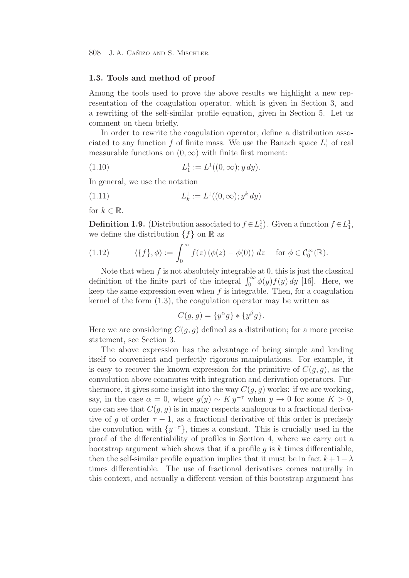### **1.3. Tools and method of proof**

Among the tools used to prove the above results we highlight a new representation of the coagulation operator, which is given in Section 3, and a rewriting of the self-similar profile equation, given in Section 5. Let us comment on them briefly.

In order to rewrite the coagulation operator, define a distribution associated to any function  $f$  of finite mass. We use the Banach space  $L_1^1$  of real measurable functions on  $(0, \infty)$  with finite first moment:

(1.10) 
$$
L_1^1 := L^1((0, \infty); y \, dy).
$$

In general, we use the notation

(1.11) 
$$
L_k^1 := L^1((0, \infty); y^k dy)
$$

for  $k \in \mathbb{R}$ .

**Definition 1.9.** (Distribution associated to  $f \in L_1^1$ ). Given a function  $f \in L_1^1$ , we define the distribution  $\{f\}$  on  $\mathbb R$  as

(1.12) 
$$
\langle \{f\}, \phi \rangle := \int_0^\infty f(z) \left( \phi(z) - \phi(0) \right) dz \quad \text{for } \phi \in C_0^\infty(\mathbb{R}).
$$

Note that when  $f$  is not absolutely integrable at 0, this is just the classical definition of the finite part of the integral  $\int_0^\infty \phi(y) f(y) dy$  [16]. Here, we keep the same expression even when  $f$  is integrable. Then, for a coagulation kernel of the form (1.3), the coagulation operator may be written as

$$
C(g,g) = \{y^{\alpha}g\} * \{y^{\beta}g\}.
$$

Here we are considering  $C(g, g)$  defined as a distribution; for a more precise statement, see Section 3.

The above expression has the advantage of being simple and lending itself to convenient and perfectly rigorous manipulations. For example, it is easy to recover the known expression for the primitive of  $C(g, g)$ , as the convolution above commutes with integration and derivation operators. Furthermore, it gives some insight into the way  $C(q, q)$  works: if we are working, say, in the case  $\alpha = 0$ , where  $g(y) \sim K y^{-\tau}$  when  $y \to 0$  for some  $K > 0$ , one can see that  $C(q, q)$  is in many respects analogous to a fractional derivative of q of order  $\tau - 1$ , as a fractional derivative of this order is precisely the convolution with  $\{y^{-\tau}\}\$ , times a constant. This is crucially used in the proof of the differentiability of profiles in Section 4, where we carry out a bootstrap argument which shows that if a profile  $q$  is k times differentiable, then the self-similar profile equation implies that it must be in fact  $k + 1 - \lambda$ times differentiable. The use of fractional derivatives comes naturally in this context, and actually a different version of this bootstrap argument has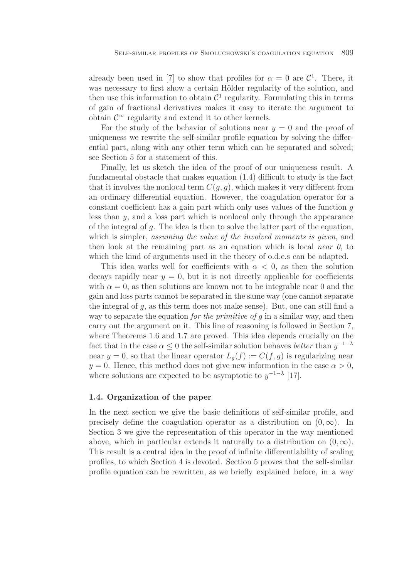already been used in [7] to show that profiles for  $\alpha = 0$  are  $\mathcal{C}^1$ . There, it was necessary to first show a certain Hölder regularity of the solution, and then use this information to obtain  $\mathcal{C}^1$  regularity. Formulating this in terms of gain of fractional derivatives makes it easy to iterate the argument to obtain  $\mathcal{C}^{\infty}$  regularity and extend it to other kernels.

For the study of the behavior of solutions near  $y = 0$  and the proof of uniqueness we rewrite the self-similar profile equation by solving the differential part, along with any other term which can be separated and solved; see Section 5 for a statement of this.

Finally, let us sketch the idea of the proof of our uniqueness result. A fundamental obstacle that makes equation (1.4) difficult to study is the fact that it involves the nonlocal term  $C(g, g)$ , which makes it very different from an ordinary differential equation. However, the coagulation operator for a constant coefficient has a gain part which only uses values of the function g less than  $y$ , and a loss part which is nonlocal only through the appearance of the integral of  $q$ . The idea is then to solve the latter part of the equation, which is simpler, *assuming the value of the involved moments is given*, and then look at the remaining part as an equation which is local near  $\theta$ , to which the kind of arguments used in the theory of o.d.e.s can be adapted.

This idea works well for coefficients with  $\alpha < 0$ , as then the solution decays rapidly near  $y = 0$ , but it is not directly applicable for coefficients with  $\alpha = 0$ , as then solutions are known not to be integrable near 0 and the gain and loss parts cannot be separated in the same way (one cannot separate the integral of  $q$ , as this term does not make sense). But, one can still find a way to separate the equation *for the primitive of g* in a similar way, and then carry out the argument on it. This line of reasoning is followed in Section 7, where Theorems 1.6 and 1.7 are proved. This idea depends crucially on the fact that in the case  $\alpha \leq 0$  the self-similar solution behaves better than  $y^{-1-\lambda}$ near  $y = 0$ , so that the linear operator  $L_q(f) := C(f, g)$  is regularizing near  $y = 0$ . Hence, this method does not give new information in the case  $\alpha > 0$ , where solutions are expected to be asymptotic to  $y^{-1-\lambda}$  [17].

### **1.4. Organization of the paper**

In the next section we give the basic definitions of self-similar profile, and precisely define the coagulation operator as a distribution on  $(0, \infty)$ . In Section 3 we give the representation of this operator in the way mentioned above, which in particular extends it naturally to a distribution on  $(0, \infty)$ . This result is a central idea in the proof of infinite differentiability of scaling profiles, to which Section 4 is devoted. Section 5 proves that the self-similar profile equation can be rewritten, as we briefly explained before, in a way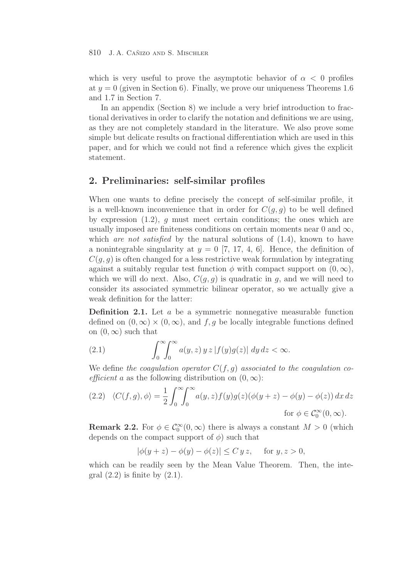which is very useful to prove the asymptotic behavior of  $\alpha < 0$  profiles at  $y = 0$  (given in Section 6). Finally, we prove our uniqueness Theorems 1.6 and 1.7 in Section 7.

In an appendix (Section 8) we include a very brief introduction to fractional derivatives in order to clarify the notation and definitions we are using, as they are not completely standard in the literature. We also prove some simple but delicate results on fractional differentiation which are used in this paper, and for which we could not find a reference which gives the explicit statement.

# **2. Preliminaries: self-similar profiles**

When one wants to define precisely the concept of self-similar profile, it is a well-known inconvenience that in order for  $C(q, q)$  to be well defined by expression  $(1.2)$ , g must meet certain conditions; the ones which are usually imposed are finiteness conditions on certain moments near 0 and  $\infty$ , which *are not satisfied* by the natural solutions of  $(1.4)$ , known to have a nonintegrable singularity at  $y = 0$  [7, 17, 4, 6]. Hence, the definition of  $C(q, q)$  is often changed for a less restrictive weak formulation by integrating against a suitably regular test function  $\phi$  with compact support on  $(0, \infty)$ , which we will do next. Also,  $C(q, q)$  is quadratic in g, and we will need to consider its associated symmetric bilinear operator, so we actually give a weak definition for the latter:

**Definition 2.1.** Let a be a symmetric nonnegative measurable function defined on  $(0, \infty) \times (0, \infty)$ , and f, g be locally integrable functions defined on  $(0, \infty)$  such that

(2.1) 
$$
\int_0^\infty \int_0^\infty a(y, z) y z |f(y)g(z)| dy dz < \infty.
$$

We define the coagulation operator  $C(f, g)$  associated to the coagulation coefficient a as the following distribution on  $(0, \infty)$ :

$$
(2.2) \quad \langle C(f,g), \phi \rangle = \frac{1}{2} \int_0^\infty \int_0^\infty a(y,z) f(y) g(z) (\phi(y+z) - \phi(y) - \phi(z)) dx dz
$$
  
for  $\phi \in C_0^\infty(0,\infty)$ .

**Remark 2.2.** For  $\phi \in C_0^{\infty}(0, \infty)$  there is always a constant  $M > 0$  (which depends on the compact support of  $\phi$ ) such that

$$
|\phi(y+z) - \phi(y) - \phi(z)| \le C y z, \quad \text{for } y, z > 0,
$$

which can be readily seen by the Mean Value Theorem. Then, the integral  $(2.2)$  is finite by  $(2.1)$ .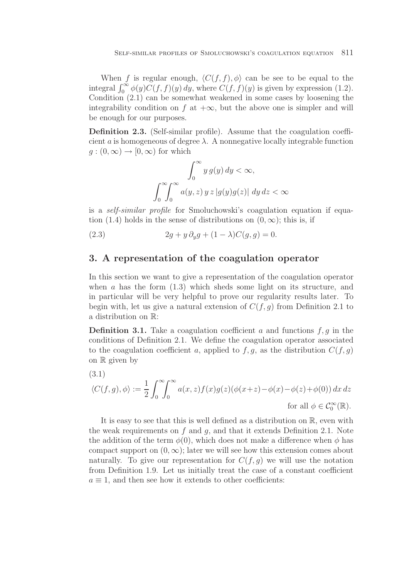When f is regular enough,  $\langle C(f, f), \phi \rangle$  can be see to be equal to the integral  $\int_0^\infty \phi(y) C(f, f)(y) dy$ , where  $C(f, f)(y)$  is given by expression (1.2). Condition (2.1) can be somewhat weakened in some cases by loosening the integrability condition on f at  $+\infty$ , but the above one is simpler and will be enough for our purposes.

**Definition 2.3.** (Self-similar profile). Assume that the coagulation coefficient a is homogeneous of degree  $\lambda$ . A nonnegative locally integrable function  $q:(0,\infty)\to[0,\infty)$  for which

$$
\int_0^\infty y g(y) dy < \infty,
$$
  

$$
\int_0^\infty \int_0^\infty a(y, z) y z |g(y)g(z)| dy dz < \infty
$$

is a *self-similar profile* for Smoluchowski's coagulation equation if equation (1.4) holds in the sense of distributions on  $(0, \infty)$ ; this is, if

(2.3) 
$$
2g + y \, \partial_y g + (1 - \lambda) C(g, g) = 0.
$$

## **3. A representation of the coagulation operator**

In this section we want to give a representation of the coagulation operator when a has the form  $(1.3)$  which sheds some light on its structure, and in particular will be very helpful to prove our regularity results later. To begin with, let us give a natural extension of  $C(f, g)$  from Definition 2.1 to a distribution on R:

**Definition 3.1.** Take a coagulation coefficient a and functions  $f, g$  in the conditions of Definition 2.1. We define the coagulation operator associated to the coagulation coefficient a, applied to  $f, g$ , as the distribution  $C(f, g)$ on  $\mathbb R$  given by

(3.1)  
\n
$$
\langle C(f,g), \phi \rangle := \frac{1}{2} \int_0^\infty \int_0^\infty a(x,z) f(x) g(z) (\phi(x+z) - \phi(x) - \phi(z) + \phi(0)) dx dz
$$
\nfor all  $\phi \in C_0^\infty(\mathbb{R})$ .

It is easy to see that this is well defined as a distribution on R, even with the weak requirements on  $f$  and  $g$ , and that it extends Definition 2.1. Note the addition of the term  $\phi(0)$ , which does not make a difference when  $\phi$  has compact support on  $(0, \infty)$ ; later we will see how this extension comes about naturally. To give our representation for  $C(f, g)$  we will use the notation from Definition 1.9. Let us initially treat the case of a constant coefficient  $a \equiv 1$ , and then see how it extends to other coefficients: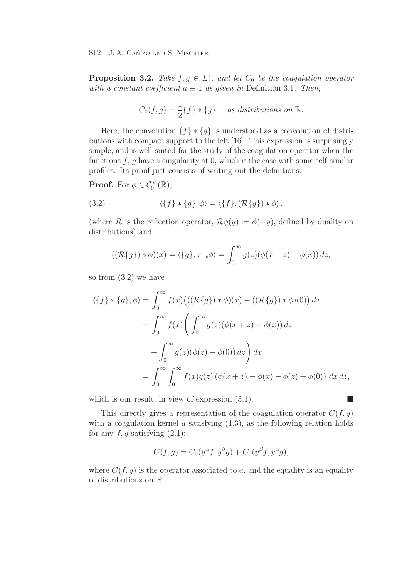**Proposition 3.2.** Take  $f, g \in L_1^1$ , and let  $C_0$  be the coagulation operator with a constant coefficient  $a \equiv 1$  as given in Definition 3.1. Then,

$$
C_0(f,g) = \frac{1}{2}\{f\} * \{g\} \quad \text{as distributions on } \mathbb{R}.
$$

Here, the convolution  $\{f\} * \{g\}$  is understood as a convolution of distributions with compact support to the left [16]. This expression is surprisingly simple, and is well-suited for the study of the coagulation operator when the functions  $f, g$  have a singularity at 0, which is the case with some self-similar profiles. Its proof just consists of writing out the definitions:

**Proof.** For  $\phi \in C_0^{\infty}(\mathbb{R}),$ 

(3.2) 
$$
\langle \{f\} * \{g\}, \phi \rangle = \langle \{f\}, (\mathcal{R}\{g\}) * \phi \rangle,
$$

(where R is the reflection operator,  $\mathcal{R}\phi(y) := \phi(-y)$ , defined by duality on distributions) and

$$
((\mathcal{R}{g}) * \phi)(x) = \langle {g}, \tau_{-x} \phi \rangle = \int_0^\infty g(z) (\phi(x+z) - \phi(x)) dz,
$$

so from (3.2) we have

$$
\langle \{f\} * \{g\}, \phi \rangle = \int_0^\infty f(x) \big( ((\mathcal{R}\{g\}) * \phi)(x) - ((\mathcal{R}\{g\}) * \phi)(0) \big) dx
$$
  
= 
$$
\int_0^\infty f(x) \Bigg( \int_0^\infty g(z) (\phi(x+z) - \phi(x)) dz
$$
  

$$
- \int_0^\infty g(z) (\phi(z) - \phi(0)) dz \Bigg) dx
$$
  
= 
$$
\int_0^\infty \int_0^\infty f(x) g(z) (\phi(x+z) - \phi(x) - \phi(z) + \phi(0)) dx dz,
$$

which is our result, in view of expression  $(3.1)$ .

This directly gives a representation of the coagulation operator  $C(f, g)$ with a coagulation kernel  $\alpha$  satisfying  $(1.3)$ , as the following relation holds for any  $f, g$  satisfying  $(2.1)$ :

$$
C(f,g) = C_0(y^{\alpha}f, y^{\beta}g) + C_0(y^{\beta}f, y^{\alpha}g),
$$

where  $C(f, g)$  is the operator associated to a, and the equality is an equality of distributions on R.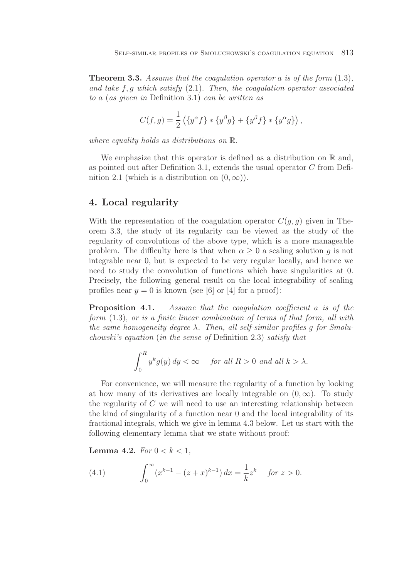**Theorem 3.3.** Assume that the coagulation operator a is of the form  $(1.3)$ , and take  $f, g$  which satisfy  $(2.1)$ . Then, the coagulation operator associated to a (as given in Definition 3.1) can be written as

$$
C(f,g) = \frac{1}{2} \left( \{ y^{\alpha} f \} * \{ y^{\beta} g \} + \{ y^{\beta} f \} * \{ y^{\alpha} g \} \right),
$$

where equality holds as distributions on R.

We emphasize that this operator is defined as a distribution on  $\mathbb R$  and, as pointed out after Definition 3.1, extends the usual operator C from Definition 2.1 (which is a distribution on  $(0, \infty)$ ).

# **4. Local regularity**

With the representation of the coagulation operator  $C(q, q)$  given in Theorem 3.3, the study of its regularity can be viewed as the study of the regularity of convolutions of the above type, which is a more manageable problem. The difficulty here is that when  $\alpha \geq 0$  a scaling solution g is not integrable near 0, but is expected to be very regular locally, and hence we need to study the convolution of functions which have singularities at 0. Precisely, the following general result on the local integrability of scaling profiles near  $y = 0$  is known (see [6] or [4] for a proof):

**Proposition 4.1.** Assume that the coagulation coefficient a is of the form (1.3), or is a finite linear combination of terms of that form, all with the same homogeneity degree  $\lambda$ . Then, all self-similar profiles q for Smoluchowski's equation (in the sense of Definition 2.3) satisfy that

$$
\int_0^R y^k g(y) dy < \infty \quad \text{ for all } R > 0 \text{ and all } k > \lambda.
$$

For convenience, we will measure the regularity of a function by looking at how many of its derivatives are locally integrable on  $(0, \infty)$ . To study the regularity of  $C$  we will need to use an interesting relationship between the kind of singularity of a function near 0 and the local integrability of its fractional integrals, which we give in lemma 4.3 below. Let us start with the following elementary lemma that we state without proof:

**Lemma 4.2.** For  $0 < k < 1$ ,

(4.1) 
$$
\int_0^\infty (x^{k-1} - (z+x)^{k-1}) dx = \frac{1}{k} z^k \quad \text{for } z > 0.
$$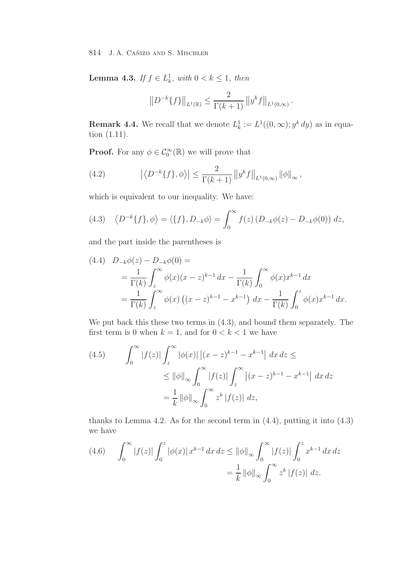**Lemma 4.3.** If  $f \in L^1_k$ , with  $0 < k \leq 1$ , then

$$
||D^{-k}{f}||_{L^{1}(\mathbb{R})} \leq \frac{2}{\Gamma(k+1)} ||y^{k}f||_{L^{1}(0,\infty)}.
$$

**Remark 4.4.** We recall that we denote  $L_k^1 := L^1((0, \infty); y^k dy)$  as in equation (1.11) tion (1.11).

**Proof.** For any  $\phi \in C_0^{\infty}(\mathbb{R})$  we will prove that

(4.2) 
$$
|\langle D^{-k}{f}, \phi \rangle| \leq \frac{2}{\Gamma(k+1)} ||y^k f||_{L^1(0,\infty)} ||\phi||_{\infty},
$$

which is equivalent to our inequality. We have:

(4.3) 
$$
\langle D^{-k}{f}, \phi \rangle = \langle {f}, D_{-k}\phi \rangle = \int_0^\infty f(z) (D_{-k}\phi(z) - D_{-k}\phi(0)) dz,
$$

and the part inside the parentheses is

$$
(4.4) \quad D_{-k}\phi(z) - D_{-k}\phi(0) =
$$
  
=  $\frac{1}{\Gamma(k)} \int_z^{\infty} \phi(x)(x - z)^{k-1} dx - \frac{1}{\Gamma(k)} \int_0^{\infty} \phi(x)x^{k-1} dx$   
=  $\frac{1}{\Gamma(k)} \int_z^{\infty} \phi(x) ((x - z)^{k-1} - x^{k-1}) dx - \frac{1}{\Gamma(k)} \int_0^z \phi(x)x^{k-1} dx.$ 

We put back this these two terms in (4.3), and bound them separately. The first term is 0 when  $k = 1$ , and for  $0 < k < 1$  we have

(4.5) 
$$
\int_0^{\infty} |f(z)| \int_z^{\infty} |\phi(x)| |(x-z)^{k-1} - x^{k-1}| dx dz \le
$$

$$
\leq ||\phi||_{\infty} \int_0^{\infty} |f(z)| \int_z^{\infty} |(x-z)^{k-1} - x^{k-1}| dx dz
$$

$$
= \frac{1}{k} ||\phi||_{\infty} \int_0^{\infty} z^k |f(z)| dz,
$$

thanks to Lemma 4.2. As for the second term in  $(4.4)$ , putting it into  $(4.3)$ we have

(4.6) 
$$
\int_0^{\infty} |f(z)| \int_0^z |\phi(x)| x^{k-1} dx dz \le ||\phi||_{\infty} \int_0^{\infty} |f(z)| \int_0^z x^{k-1} dx dz
$$

$$
= \frac{1}{k} ||\phi||_{\infty} \int_0^{\infty} z^k |f(z)| dz.
$$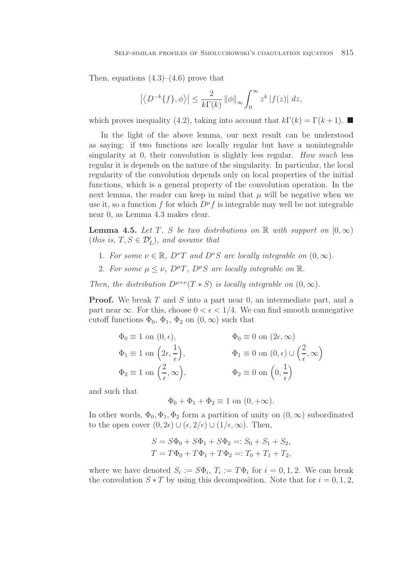Then, equations  $(4.3)$ – $(4.6)$  prove that

$$
\left| \left\langle D^{-k}{f} \},phi \right\rangle \right| \leq \frac{2}{k\Gamma(k)} \left\| \phi \right\|_{\infty} \int_0^{\infty} z^k \left| f(z) \right| \, dz,
$$

which proves inequality (4.2), taking into account that  $k\Gamma(k) = \Gamma(k+1)$ .

In the light of the above lemma, our next result can be understood as saying: if two functions are locally regular but have a nonintegrable singularity at 0, their convolution is slightly less regular. How much less regular it is depends on the nature of the singularity. In particular, the local regularity of the convolution depends only on local properties of the initial functions, which is a general property of the convolution operation. In the next lemma, the reader can keep in mind that  $\mu$  will be negative when we use it, so a function f for which  $D^{\mu}f$  is integrable may well be not integrable near 0, as Lemma 4.3 makes clear.

**Lemma 4.5.** Let T, S be two distributions on R with support on  $[0, \infty)$  $(this is, T, S \in \mathcal{D}'_L), and assume that$ 

- 1. For some  $\nu \in \mathbb{R}$ ,  $D^{\nu}T$  and  $D^{\nu}S$  are locally integrable on  $(0, \infty)$ .
- 2. For some  $\mu \leq \nu$ ,  $D^{\mu}T$ ,  $D^{\mu}S$  are locally integrable on  $\mathbb{R}$ .

Then, the distribution  $D^{\mu+\nu}(T*S)$  is locally integrable on  $(0,\infty)$ .

**Proof.** We break T and S into a part near 0, an intermediate part, and a part near  $\infty$ . For this, choose  $0 < \epsilon < 1/4$ . We can find smooth nonnegative cutoff functions  $\Phi_0$ ,  $\Phi_1$ ,  $\Phi_2$  on  $(0, \infty)$  such that

$$
\Phi_0 \equiv 1 \text{ on } (0, \epsilon), \qquad \Phi_0 \equiv 0 \text{ on } (2\epsilon, \infty)
$$
  
\n
$$
\Phi_1 \equiv 1 \text{ on } \left(2\epsilon, \frac{1}{\epsilon}\right), \qquad \Phi_1 \equiv 0 \text{ on } (0, \epsilon) \cup \left(\frac{2}{\epsilon}, \infty\right)
$$
  
\n
$$
\Phi_2 \equiv 1 \text{ on } \left(\frac{2}{\epsilon}, \infty\right), \qquad \Phi_2 \equiv 0 \text{ on } \left(0, \frac{1}{\epsilon}\right)
$$

and such that

$$
\Phi_0 + \Phi_1 + \Phi_2 \equiv 1 \text{ on } (0, +\infty).
$$

In other words,  $\Phi_0$ ,  $\Phi_1$ ,  $\Phi_2$  form a partition of unity on  $(0, \infty)$  subordinated to the open cover  $(0, 2\epsilon) \cup (\epsilon, 2/\epsilon) \cup (1/\epsilon, \infty)$ . Then,

$$
S = S\Phi_0 + S\Phi_1 + S\Phi_2 =: S_0 + S_1 + S_2,
$$
  
\n
$$
T = T\Phi_0 + T\Phi_1 + T\Phi_2 =: T_0 + T_1 + T_2,
$$

where we have denoted  $S_i := S\Phi_i$ ,  $T_i := T\Phi_i$  for  $i = 0, 1, 2$ . We can break the convolution  $S \times T$  by using this decomposition. Note that for  $i = 0, 1, 2$ ,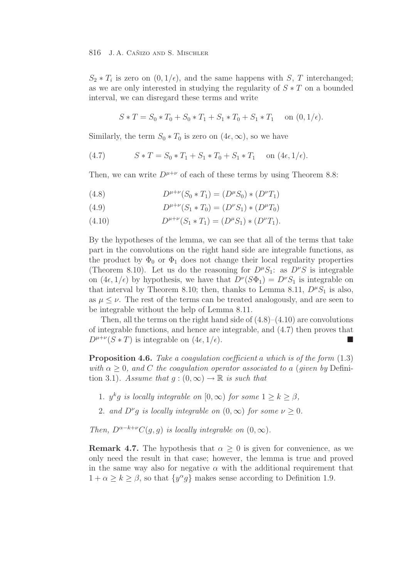$S_2 * T_i$  is zero on  $(0, 1/\epsilon)$ , and the same happens with S, T interchanged; as we are only interested in studying the regularity of  $S * T$  on a bounded interval, we can disregard these terms and write

$$
S * T = S_0 * T_0 + S_0 * T_1 + S_1 * T_0 + S_1 * T_1 \quad \text{on } (0, 1/\epsilon).
$$

Similarly, the term  $S_0 * T_0$  is zero on  $(4\epsilon, \infty)$ , so we have

(4.7) 
$$
S * T = S_0 * T_1 + S_1 * T_0 + S_1 * T_1 \text{ on } (4\epsilon, 1/\epsilon).
$$

Then, we can write  $D^{\mu+\nu}$  of each of these terms by using Theorem 8.8:

(4.8)  $D^{\mu+\nu}(S_0*T_1)=(D^{\mu}S_0)*(D^{\nu}T_1)$ 

(4.9) 
$$
D^{\mu+\nu}(S_1*T_0)=(D^{\nu}S_1)*(D^{\mu}T_0)
$$

(4.10)  $D^{\mu+\nu}(S_1 * T_1) = (D^{\mu}S_1) * (D^{\nu}T_1).$ 

By the hypotheses of the lemma, we can see that all of the terms that take part in the convolutions on the right hand side are integrable functions, as the product by  $\Phi_0$  or  $\Phi_1$  does not change their local regularity properties (Theorem 8.10). Let us do the reasoning for  $D^{\mu}S_1$ : as  $D^{\nu}S$  is integrable on  $(4\epsilon, 1/\epsilon)$  by hypothesis, we have that  $D^{\nu}(S\Phi_1) = D^{\nu}S_1$  is integrable on that interval by Theorem 8.10; then, thanks to Lemma 8.11,  $D^{\mu}S_1$  is also, as  $\mu \leq \nu$ . The rest of the terms can be treated analogously, and are seen to be integrable without the help of Lemma 8.11.

Then, all the terms on the right hand side of  $(4.8)$ – $(4.10)$  are convolutions of integrable functions, and hence are integrable, and (4.7) then proves that  $D^{\mu+\nu}(S*T)$  is integrable on  $(4\epsilon, 1/\epsilon)$ .

**Proposition 4.6.** Take a coagulation coefficient a which is of the form  $(1.3)$ with  $\alpha \geq 0$ , and C the coagulation operator associated to a (given by Definition 3.1). Assume that  $g:(0,\infty)\to\mathbb{R}$  is such that

- 1.  $y^k q$  is locally integrable on  $[0, \infty)$  for some  $1 \geq k \geq \beta$ ,
- 2. and  $D^{\nu}g$  is locally integrable on  $(0,\infty)$  for some  $\nu \geq 0$ .

Then,  $D^{\alpha-k+\nu}C(q, q)$  is locally integrable on  $(0, \infty)$ .

**Remark 4.7.** The hypothesis that  $\alpha > 0$  is given for convenience, as we only need the result in that case; however, the lemma is true and proved in the same way also for negative  $\alpha$  with the additional requirement that  $1 + \alpha \geq k \geq \beta$ , so that  $\{y^{\alpha}g\}$  makes sense according to Definition 1.9.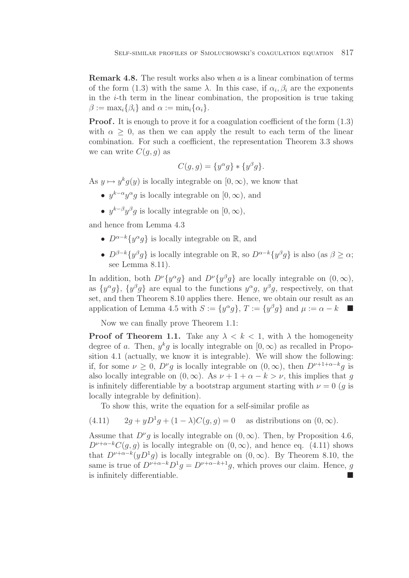**Remark 4.8.** The result works also when a is a linear combination of terms of the form (1.3) with the same  $\lambda$ . In this case, if  $\alpha_i, \beta_i$  are the exponents in the  $i$ -th term in the linear combination, the proposition is true taking  $\beta := \max_i {\{\beta_i\}}$  and  $\alpha := \min_i {\{\alpha_i\}}$ .

**Proof.** It is enough to prove it for a coagulation coefficient of the form  $(1.3)$ with  $\alpha \geq 0$ , as then we can apply the result to each term of the linear combination. For such a coefficient, the representation Theorem 3.3 shows we can write  $C(q, q)$  as

$$
C(g,g) = \{y^{\alpha}g\} * \{y^{\beta}g\}.
$$

As  $y \mapsto y^k q(y)$  is locally integrable on  $[0, \infty)$ , we know that

- $u^{k-\alpha}u^{\alpha}q$  is locally integrable on  $[0,\infty)$ , and
- $y^{k-\beta}y^{\beta}q$  is locally integrable on  $[0,\infty)$ ,

and hence from Lemma 4.3

- $D^{\alpha-k}\lbrace u^{\alpha}q \rbrace$  is locally integrable on  $\mathbb{R}$ , and
- $D^{\beta-k}{y^{\beta}g}$  is locally integrable on  $\mathbb{R}$ , so  $D^{\alpha-k}{y^{\beta}g}$  is also (as  $\beta \geq \alpha$ ; see Lemma 8.11).

In addition, both  $D^{\nu}\lbrace y^{\alpha}g \rbrace$  and  $D^{\nu}\lbrace y^{\beta}g \rbrace$  are locally integrable on  $(0, \infty)$ , as  $\{y^{\alpha}g\}$ ,  $\{y^{\beta}g\}$  are equal to the functions  $y^{\alpha}g$ ,  $y^{\beta}g$ , respectively, on that set, and then Theorem 8.10 applies there. Hence, we obtain our result as an application of Lemma 4.5 with  $S := \{y^{\alpha}g\}, T := \{y^{\beta}g\}$  and  $\mu := \alpha - k$ 

Now we can finally prove Theorem 1.1:

**Proof of Theorem 1.1.** Take any  $\lambda < k < 1$ , with  $\lambda$  the homogeneity degree of a. Then,  $y^k g$  is locally integrable on  $[0, \infty)$  as recalled in Proposition 4.1 (actually, we know it is integrable). We will show the following: if, for some  $\nu \geq 0$ ,  $D^{\nu}g$  is locally integrable on  $(0,\infty)$ , then  $D^{\nu+1+\alpha-k}g$  is also locally integrable on  $(0, \infty)$ . As  $\nu + 1 + \alpha - k > \nu$ , this implies that g is infinitely differentiable by a bootstrap argument starting with  $\nu = 0$  (q is locally integrable by definition).

To show this, write the equation for a self-similar profile as

 $(4.11)$   $2g + yD^1g + (1 - \lambda)C(g, g) = 0$  as distributions on  $(0, \infty)$ .

Assume that  $D^{\nu}g$  is locally integrable on  $(0, \infty)$ . Then, by Proposition 4.6,  $D^{\nu+\alpha-k}C(q, q)$  is locally integrable on  $(0, \infty)$ , and hence eq.  $(4.11)$  shows that  $D^{\nu+\alpha-k}(yD^1g)$  is locally integrable on  $(0,\infty)$ . By Theorem 8.10, the same is true of  $D^{\nu+\alpha-k}D^1q = D^{\nu+\alpha-k+1}q$ , which proves our claim. Hence, q is infinitely differentiable.  $\blacksquare$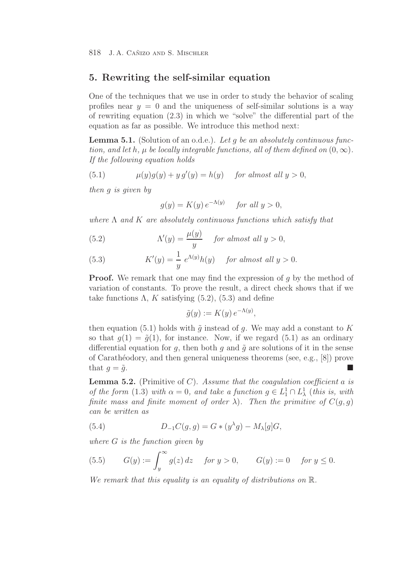# **5. Rewriting the self-similar equation**

One of the techniques that we use in order to study the behavior of scaling profiles near  $y = 0$  and the uniqueness of self-similar solutions is a way of rewriting equation (2.3) in which we "solve" the differential part of the equation as far as possible. We introduce this method next:

**Lemma 5.1.** (Solution of an o.d.e.). Let q be an absolutely continuous function, and let h,  $\mu$  be locally integrable functions, all of them defined on  $(0, \infty)$ . If the following equation holds

(5.1) 
$$
\mu(y)g(y) + y g'(y) = h(y) \quad \text{for almost all } y > 0,
$$

then g is given by

$$
g(y) = K(y) e^{-\Lambda(y)} \quad \text{for all } y > 0,
$$

where  $\Lambda$  and  $K$  are absolutely continuous functions which satisfy that

(5.2) 
$$
\Lambda'(y) = \frac{\mu(y)}{y} \quad \text{for almost all } y > 0,
$$

(5.3) 
$$
K'(y) = \frac{1}{y} e^{\Lambda(y)} h(y) \quad \text{for almost all } y > 0.
$$

**Proof.** We remark that one may find the expression of g by the method of variation of constants. To prove the result, a direct check shows that if we take functions  $\Lambda$ , K satisfying (5.2), (5.3) and define

$$
\tilde{g}(y) := K(y) e^{-\Lambda(y)},
$$

then equation (5.1) holds with  $\tilde{g}$  instead of g. We may add a constant to K so that  $q(1) = \tilde{q}(1)$ , for instance. Now, if we regard (5.1) as an ordinary differential equation for q, then both q and  $\tilde{q}$  are solutions of it in the sense of Carathéodory, and then general uniqueness theorems (see, e.g.,  $[8]$ ) prove that  $g = \tilde{g}$ .

**Lemma 5.2.** (Primitive of C). Assume that the coagulation coefficient a is of the form (1.3) with  $\alpha = 0$ , and take a function  $g \in L^1_1 \cap L^1_\lambda$  (this is, with<br>finite mass and finite memorial of order)). Then the primitive of  $C(a, a)$ finite mass and finite moment of order  $\lambda$ ). Then the primitive of  $C(q, q)$ can be written as

(5.4) 
$$
D_{-1}C(g,g) = G * (y^{\lambda}g) - M_{\lambda}[g]G,
$$

where  $G$  is the function given by

(5.5) 
$$
G(y) := \int_{y}^{\infty} g(z) dz
$$
 for  $y > 0$ ,  $G(y) := 0$  for  $y \le 0$ .

We remark that this equality is an equality of distributions on  $\mathbb{R}$ .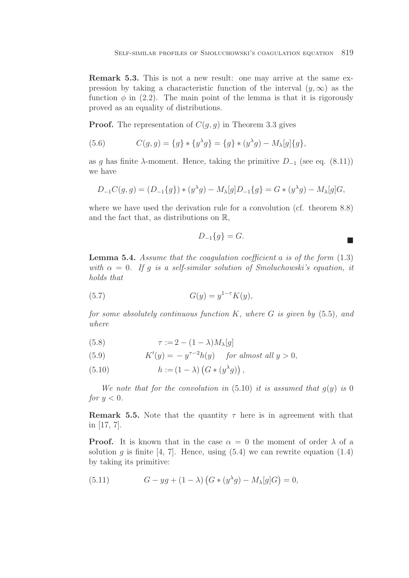**Remark 5.3.** This is not a new result: one may arrive at the same expression by taking a characteristic function of the interval  $(y, \infty)$  as the function  $\phi$  in (2.2). The main point of the lemma is that it is rigorously proved as an equality of distributions.

**Proof.** The representation of  $C(g, g)$  in Theorem 3.3 gives

(5.6) 
$$
C(g,g) = \{g\} * \{y^{\lambda}g\} = \{g\} * (y^{\lambda}g) - M_{\lambda}[g]\{g\},
$$

as g has finite  $\lambda$ -moment. Hence, taking the primitive  $D_{-1}$  (see eq. (8.11)) we have

$$
D_{-1}C(g,g) = (D_{-1}\{g\}) * (y^{\lambda}g) - M_{\lambda}[g]D_{-1}\{g\} = G * (y^{\lambda}g) - M_{\lambda}[g]G,
$$

where we have used the derivation rule for a convolution (cf. theorem 8.8) and the fact that, as distributions on R,

$$
D_{-1}\{g\} = G.
$$

**Lemma 5.4.** Assume that the coagulation coefficient a is of the form  $(1.3)$ with  $\alpha = 0$ . If q is a self-similar solution of Smoluchowski's equation, it holds that

(5.7) 
$$
G(y) = y^{1-\tau} K(y),
$$

for some absolutely continuous function K, where G is given by  $(5.5)$ , and where

(5.8) 
$$
\tau := 2 - (1 - \lambda) M_{\lambda}[g]
$$

(5.9) 
$$
K'(y) = -y^{\tau-2}h(y) \quad \text{for almost all } y > 0,
$$

(5.10)  $h := (1 - \lambda) (G * (y^{\lambda} g))$ ,

We note that for the convolution in  $(5.10)$  it is assumed that  $q(y)$  is 0 for  $y < 0$ .

**Remark 5.5.** Note that the quantity  $\tau$  here is in agreement with that in [17, 7].

**Proof.** It is known that in the case  $\alpha = 0$  the moment of order  $\lambda$  of a solution q is finite [4, 7]. Hence, using  $(5.4)$  we can rewrite equation  $(1.4)$ by taking its primitive:

(5.11) 
$$
G - yg + (1 - \lambda) (G * (y^{\lambda}g) - M_{\lambda}[g]G) = 0,
$$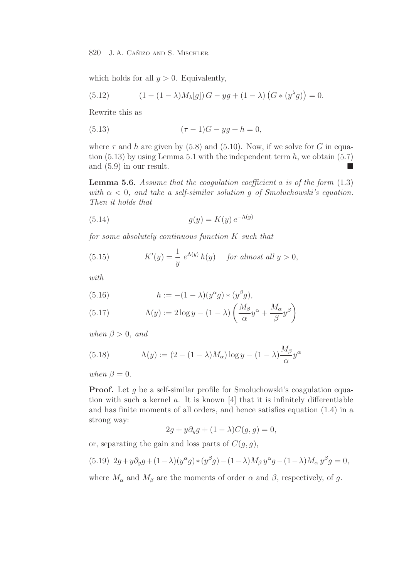which holds for all  $y > 0$ . Equivalently,

(5.12) 
$$
(1 - (1 - \lambda)M_{\lambda}[g]) G - yg + (1 - \lambda) (G * (y^{\lambda}g)) = 0.
$$

Rewrite this as

(5.13) 
$$
(\tau - 1)G - yg + h = 0,
$$

where  $\tau$  and h are given by (5.8) and (5.10). Now, if we solve for G in equation  $(5.13)$  by using Lemma 5.1 with the independent term h, we obtain  $(5.7)$ and  $(5.9)$  in our result.  $\blacksquare$ 

**Lemma 5.6.** Assume that the coagulation coefficient a is of the form (1.3) with  $\alpha < 0$ , and take a self-similar solution q of Smoluchowski's equation. Then it holds that

(5.14) 
$$
g(y) = K(y) e^{-\Lambda(y)}
$$

for some absolutely continuous function K such that

(5.15) 
$$
K'(y) = \frac{1}{y} e^{\Lambda(y)} h(y) \quad \text{for almost all } y > 0,
$$

with

(5.16) 
$$
h := -(1 - \lambda)(y^{\alpha}g) * (y^{\beta}g),
$$

(5.17) 
$$
\Lambda(y) := 2 \log y - (1 - \lambda) \left( \frac{M_\beta}{\alpha} y^\alpha + \frac{M_\alpha}{\beta} y^\beta \right)
$$

when  $\beta > 0$ , and

(5.18) 
$$
\Lambda(y) := (2 - (1 - \lambda)M_{\alpha}) \log y - (1 - \lambda) \frac{M_{\beta}}{\alpha} y^{\alpha}
$$

when  $\beta = 0$ .

**Proof.** Let q be a self-similar profile for Smoluchowski's coagulation equation with such a kernel  $a$ . It is known [4] that it is infinitely differentiable and has finite moments of all orders, and hence satisfies equation (1.4) in a strong way:

$$
2g + y\partial_y g + (1 - \lambda)C(g, g) = 0,
$$

or, separating the gain and loss parts of  $C(g, g)$ ,

$$
(5.19) \ 2g + y\partial_y g + (1 - \lambda)(y^{\alpha}g) * (y^{\beta}g) - (1 - \lambda)M_{\beta}y^{\alpha}g - (1 - \lambda)M_{\alpha}y^{\beta}g = 0,
$$

where  $M_{\alpha}$  and  $M_{\beta}$  are the moments of order  $\alpha$  and  $\beta$ , respectively, of g.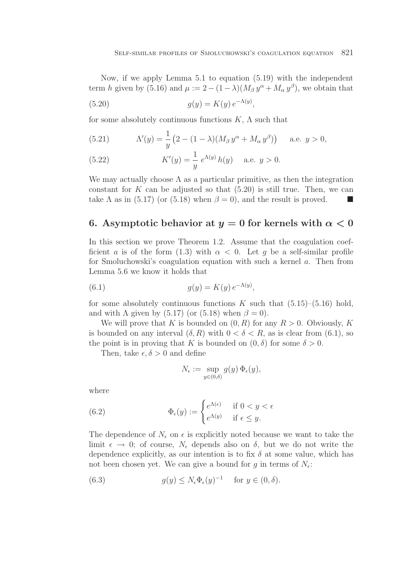Now, if we apply Lemma 5.1 to equation (5.19) with the independent term h given by (5.16) and  $\mu := 2 - (1 - \lambda)(M_\beta y^\alpha + M_\alpha y^\beta)$ , we obtain that

(5.20) 
$$
g(y) = K(y) e^{-\Lambda(y)},
$$

for some absolutely continuous functions  $K$ ,  $\Lambda$  such that

(5.21) 
$$
\Lambda'(y) = \frac{1}{y} (2 - (1 - \lambda)(M_{\beta} y^{\alpha} + M_{\alpha} y^{\beta})) \text{ a.e. } y > 0,
$$

(5.22) 
$$
K'(y) = \frac{1}{y} e^{\Lambda(y)} h(y) \quad \text{a.e. } y > 0.
$$

We may actually choose  $\Lambda$  as a particular primitive, as then the integration constant for  $K$  can be adjusted so that  $(5.20)$  is still true. Then, we can take  $\Lambda$  as in (5.17) (or (5.18) when  $\beta = 0$ ), and the result is proved.  $\blacksquare$ 

## **6.** Asymptotic behavior at  $y = 0$  for kernels with  $\alpha < 0$

In this section we prove Theorem 1.2. Assume that the coagulation coefficient a is of the form (1.3) with  $\alpha < 0$ . Let q be a self-similar profile for Smoluchowski's coagulation equation with such a kernel a. Then from Lemma 5.6 we know it holds that

(6.1) 
$$
g(y) = K(y) e^{-\Lambda(y)},
$$

for some absolutely continuous functions K such that  $(5.15)$ – $(5.16)$  hold, and with  $\Lambda$  given by (5.17) (or (5.18) when  $\beta = 0$ ).

We will prove that K is bounded on  $(0, R)$  for any  $R > 0$ . Obviously, K is bounded on any interval  $(\delta, R)$  with  $0 < \delta < R$ , as is clear from (6.1), so the point is in proving that K is bounded on  $(0, \delta)$  for some  $\delta > 0$ .

Then, take  $\epsilon, \delta > 0$  and define

$$
N_{\epsilon} := \sup_{y \in (0,\delta)} g(y) \, \Phi_{\epsilon}(y),
$$

where

(6.2) 
$$
\Phi_{\epsilon}(y) := \begin{cases} e^{\Lambda(\epsilon)} & \text{if } 0 < y < \epsilon \\ e^{\Lambda(y)} & \text{if } \epsilon \leq y. \end{cases}
$$

The dependence of  $N_{\epsilon}$  on  $\epsilon$  is explicitly noted because we want to take the limit  $\epsilon \to 0$ ; of course,  $N_{\epsilon}$  depends also on  $\delta$ , but we do not write the dependence explicitly, as our intention is to fix  $\delta$  at some value, which has not been chosen yet. We can give a bound for q in terms of  $N_{\epsilon}$ .

(6.3) 
$$
g(y) \le N_{\epsilon} \Phi_{\epsilon}(y)^{-1} \quad \text{for } y \in (0, \delta).
$$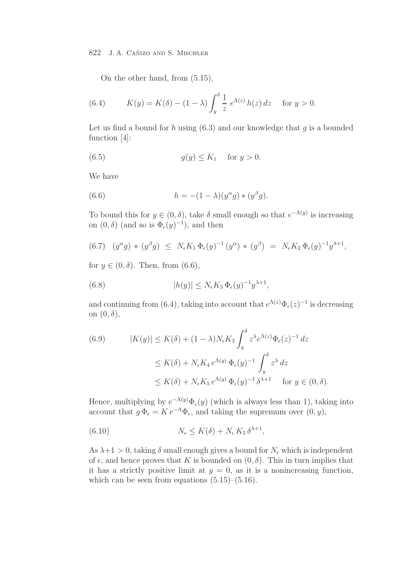On the other hand, from (5.15),

(6.4) 
$$
K(y) = K(\delta) - (1 - \lambda) \int_{y}^{\delta} \frac{1}{z} e^{\Lambda(z)} h(z) dz \text{ for } y > 0.
$$

Let us find a bound for h using  $(6.3)$  and our knowledge that q is a bounded function [4]:

$$
(6.5) \t\t g(y) \le K_1 \t for y > 0.
$$

We have

(6.6) 
$$
h = -(1 - \lambda)(y^{\alpha}g) * (y^{\beta}g).
$$

To bound this for  $y \in (0, \delta)$ , take  $\delta$  small enough so that  $e^{-\Lambda(y)}$  is increasing on  $(0, \delta)$  (and so is  $\Phi_{\epsilon}(y)^{-1}$ ), and then

$$
(6.7) \quad (y^{\alpha}g) * (y^{\beta}g) \leq N_{\epsilon}K_1 \Phi_{\epsilon}(y)^{-1} (y^{\alpha}) * (y^{\beta}) = N_{\epsilon}K_2 \Phi_{\epsilon}(y)^{-1}y^{\lambda+1},
$$

for  $y \in (0, \delta)$ . Then, from  $(6.6)$ ,

(6.8) 
$$
|h(y)| \leq N_{\epsilon} K_3 \Phi_{\epsilon}(y)^{-1} y^{\lambda+1},
$$

and continuing from (6.4), taking into account that  $e^{\Lambda(z)}\Phi_{\epsilon}(z)^{-1}$  is decreasing on  $(0, \delta)$ ,

(6.9) 
$$
|K(y)| \le K(\delta) + (1 - \lambda)N_{\epsilon}K_3 \int_y^{\delta} z^{\lambda} e^{\Lambda(z)} \Phi_{\epsilon}(z)^{-1} dz
$$

$$
\le K(\delta) + N_{\epsilon}K_4 e^{\Lambda(y)} \Phi_{\epsilon}(y)^{-1} \int_y^{\delta} z^{\lambda} dz
$$

$$
\le K(\delta) + N_{\epsilon}K_5 e^{\Lambda(y)} \Phi_{\epsilon}(y)^{-1} \delta^{\lambda+1} \quad \text{for } y \in (0, \delta).
$$

Hence, multiplying by  $e^{-\Lambda(y)}\Phi_{\epsilon}(y)$  (which is always less than 1), taking into account that  $g \Phi_{\epsilon} = K e^{-\Lambda} \Phi_{\epsilon}$ , and taking the supremum over  $(0, y)$ ,

(6.10) 
$$
N_{\epsilon} \leq K(\delta) + N_{\epsilon} K_5 \delta^{\lambda+1},
$$

As  $\lambda + 1 > 0$ , taking  $\delta$  small enough gives a bound for  $N_{\epsilon}$  which is independent of  $\epsilon$ , and hence proves that K is bounded on  $(0, \delta)$ . This in turn implies that it has a strictly positive limit at  $y = 0$ , as it is a nonincreasing function, which can be seen from equations  $(5.15)$ – $(5.16)$ .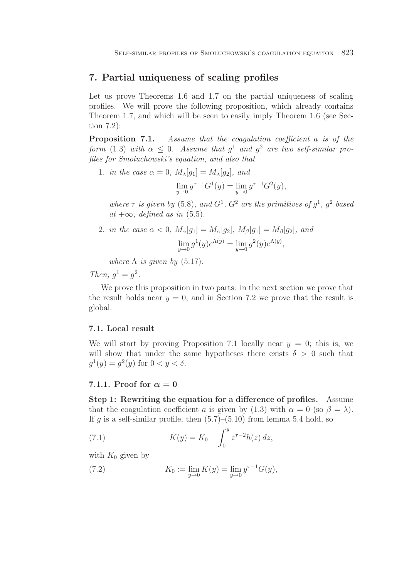## **7. Partial uniqueness of scaling profiles**

Let us prove Theorems 1.6 and 1.7 on the partial uniqueness of scaling profiles. We will prove the following proposition, which already contains Theorem 1.7, and which will be seen to easily imply Theorem 1.6 (see Section 7.2):

**Proposition 7.1.** Assume that the coagulation coefficient a is of the form (1.3) with  $\alpha \leq 0$ . Assume that  $g^1$  and  $g^2$  are two self-similar profiles for Smoluchowski's equation, and also that

1. in the case 
$$
\alpha = 0
$$
,  $M_{\lambda}[g_1] = M_{\lambda}[g_2]$ , and  

$$
\lim_{y \to 0} y^{\tau - 1} G^1(y) = \lim_{y \to 0} y^{\tau - 1} G^2(y),
$$

where  $\tau$  is given by (5.8), and  $G^1$ ,  $G^2$  are the primitives of  $q^1$ ,  $q^2$  based at  $+\infty$ , defined as in (5.5).

2. in the case  $\alpha < 0$ ,  $M_{\alpha}[q_1] = M_{\alpha}[q_2]$ ,  $M_{\beta}[q_1] = M_{\beta}[q_2]$ , and lim  $y\rightarrow 0$  $g^1(y)e^{\Lambda(y)}=\lim$  $y\rightarrow 0$  $g^2(y)e^{\Lambda(y)},$ 

where  $\Lambda$  is given by (5.17).

Then,  $q^1 = q^2$ .

We prove this proposition in two parts: in the next section we prove that the result holds near  $y = 0$ , and in Section 7.2 we prove that the result is global.

## **7.1. Local result**

We will start by proving Proposition 7.1 locally near  $y = 0$ ; this is, we will show that under the same hypotheses there exists  $\delta > 0$  such that  $g^1(y) = g^2(y)$  for  $0 < y < \delta$ .

## **7.1.1.** Proof for  $\alpha = 0$

**Step 1: Rewriting the equation for a difference of profiles.** Assume that the coagulation coefficient a is given by (1.3) with  $\alpha = 0$  (so  $\beta = \lambda$ ). If g is a self-similar profile, then  $(5.7)$ – $(5.10)$  from lemma 5.4 hold, so

(7.1) 
$$
K(y) = K_0 - \int_0^y z^{\tau - 2} h(z) dz,
$$

with  $K_0$  given by

(7.2) 
$$
K_0 := \lim_{y \to 0} K(y) = \lim_{y \to 0} y^{\tau - 1} G(y),
$$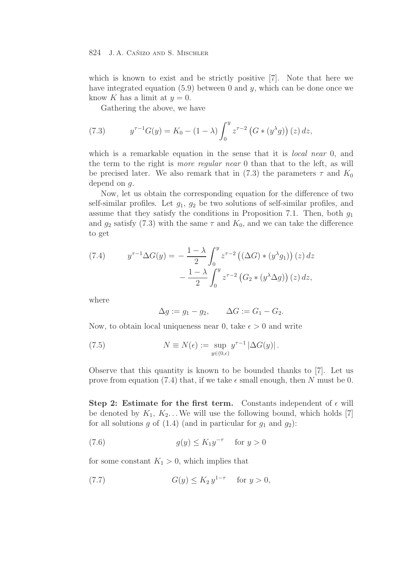which is known to exist and be strictly positive [7]. Note that here we have integrated equation  $(5.9)$  between 0 and y, which can be done once we know K has a limit at  $y = 0$ .

Gathering the above, we have

(7.3) 
$$
y^{\tau-1}G(y) = K_0 - (1 - \lambda) \int_0^y z^{\tau-2} (G * (y^{\lambda} g)) (z) dz,
$$

which is a remarkable equation in the sense that it is *local near* 0, and the term to the right is more regular near 0 than that to the left, as will be precised later. We also remark that in (7.3) the parameters  $\tau$  and  $K_0$ depend on g.

Now, let us obtain the corresponding equation for the difference of two self-similar profiles. Let  $g_1, g_2$  be two solutions of self-similar profiles, and assume that they satisfy the conditions in Proposition 7.1. Then, both  $g_1$ and  $g_2$  satisfy (7.3) with the same  $\tau$  and  $K_0$ , and we can take the difference to get

(7.4) 
$$
y^{\tau-1} \Delta G(y) = -\frac{1-\lambda}{2} \int_0^y z^{\tau-2} \left( (\Delta G) * (y^{\lambda} g_1) \right)(z) dz - \frac{1-\lambda}{2} \int_0^y z^{\tau-2} \left( G_2 * (y^{\lambda} \Delta g) \right)(z) dz,
$$

where

$$
\Delta g := g_1 - g_2, \qquad \Delta G := G_1 - G_2.
$$

Now, to obtain local uniqueness near 0, take  $\epsilon > 0$  and write

(7.5) 
$$
N \equiv N(\epsilon) := \sup_{y \in (0,\epsilon)} y^{\tau-1} |\Delta G(y)|.
$$

Observe that this quantity is known to be bounded thanks to [7]. Let us prove from equation (7.4) that, if we take  $\epsilon$  small enough, then N must be 0.

**Step 2: Estimate for the first term.** Constants independent of  $\epsilon$  will be denoted by  $K_1, K_2, \ldots$  We will use the following bound, which holds [7] for all solutions g of  $(1.4)$  (and in particular for  $g_1$  and  $g_2$ ):

$$
(7.6) \t\t g(y) \le K_1 y^{-\tau} \tfor y > 0
$$

for some constant  $K_1 > 0$ , which implies that

(7.7) 
$$
G(y) \le K_2 y^{1-\tau} \quad \text{for } y > 0,
$$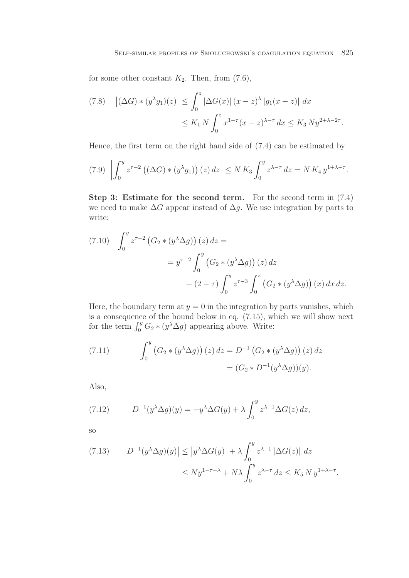for some other constant  $K_2$ . Then, from (7.6),

$$
(7.8) \quad \left| (\Delta G) * (y^{\lambda} g_1)(z) \right| \le \int_0^z \left| \Delta G(x) \right| (x - z)^{\lambda} \left| g_1(x - z) \right| dx
$$
  

$$
\le K_1 N \int_0^z x^{1 - \tau} (x - z)^{\lambda - \tau} dx \le K_3 N y^{2 + \lambda - 2\tau}.
$$

Hence, the first term on the right hand side of (7.4) can be estimated by

$$
(7.9)\ \left|\int_0^y z^{\tau-2} \left( (\Delta G) * (y^\lambda g_1) \right)(z) \, dz \right| \le N K_3 \int_0^y z^{\lambda-\tau} \, dz = N K_4 \, y^{1+\lambda-\tau}.
$$

**Step 3: Estimate for the second term.** For the second term in (7.4) we need to make  $\Delta G$  appear instead of  $\Delta g$ . We use integration by parts to write:

$$
(7.10) \quad \int_0^y z^{\tau-2} \left( G_2 * (y^\lambda \Delta g) \right)(z) dz =
$$
  

$$
= y^{\tau-2} \int_0^y \left( G_2 * (y^\lambda \Delta g) \right)(z) dz
$$
  

$$
+ (2 - \tau) \int_0^y z^{\tau-3} \int_0^z \left( G_2 * (y^\lambda \Delta g) \right)(x) dx dz.
$$

Here, the boundary term at  $y = 0$  in the integration by parts vanishes, which is a consequence of the bound below in eq. (7.15), which we will show next for the term  $\int_0^y G_2 * (y^{\lambda} \Delta g)$  appearing above. Write:

(7.11) 
$$
\int_0^y \left( G_2 * (y^{\lambda} \Delta g) \right)(z) dz = D^{-1} \left( G_2 * (y^{\lambda} \Delta g) \right)(z) dz
$$

$$
= (G_2 * D^{-1} (y^{\lambda} \Delta g)) (y).
$$

Also,

(7.12) 
$$
D^{-1}(y^{\lambda} \Delta g)(y) = -y^{\lambda} \Delta G(y) + \lambda \int_0^y z^{\lambda - 1} \Delta G(z) dz,
$$

so

$$
(7.13) \qquad |D^{-1}(y^{\lambda}\Delta g)(y)| \le |y^{\lambda}\Delta G(y)| + \lambda \int_0^y z^{\lambda-1} |\Delta G(z)| dz
$$
  

$$
\le Ny^{1-\tau+\lambda} + N\lambda \int_0^y z^{\lambda-\tau} dz \le K_5 N y^{1+\lambda-\tau}.
$$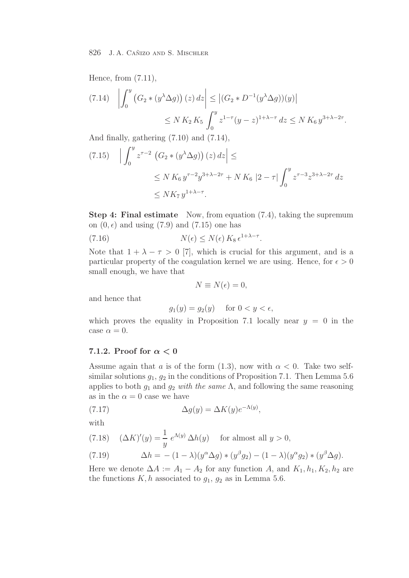Hence, from (7.11),

$$
(7.14) \quad \left| \int_0^y \left( G_2 * (y^{\lambda} \Delta g) \right)(z) \, dz \right| \le \left| (G_2 * D^{-1}(y^{\lambda} \Delta g))(y) \right|
$$
  
 
$$
\le N K_2 K_5 \int_0^y z^{1-\tau} (y-z)^{1+\lambda-\tau} \, dz \le N K_6 y^{3+\lambda-2\tau}.
$$

And finally, gathering (7.10) and (7.14),

$$
(7.15) \quad \left| \int_0^y z^{\tau-2} \left( G_2 * (y^{\lambda} \Delta g) \right)(z) \, dz \right| \le
$$
\n
$$
\le N K_6 y^{\tau-2} y^{3+\lambda-2\tau} + N K_6 |2 - \tau| \int_0^y z^{\tau-3} z^{3+\lambda-2\tau} \, dz
$$
\n
$$
\le N K_7 y^{1+\lambda-\tau}.
$$

**Step 4: Final estimate** Now, from equation (7.4), taking the supremum on  $(0, \epsilon)$  and using  $(7.9)$  and  $(7.15)$  one has

(7.16) 
$$
N(\epsilon) \le N(\epsilon) K_8 \epsilon^{1+\lambda-\tau}.
$$

Note that  $1 + \lambda - \tau > 0$  [7], which is crucial for this argument, and is a particular property of the coagulation kernel we are using. Hence, for  $\epsilon > 0$ small enough, we have that

$$
N \equiv N(\epsilon) = 0,
$$

and hence that

$$
g_1(y) = g_2(y) \quad \text{ for } 0 < y < \epsilon,
$$

which proves the equality in Proposition 7.1 locally near  $y = 0$  in the case  $\alpha = 0$ .

## **7.1.2. Proof for** *α <* **0**

Assume again that a is of the form (1.3), now with  $\alpha < 0$ . Take two selfsimilar solutions  $g_1, g_2$  in the conditions of Proposition 7.1. Then Lemma 5.6 applies to both  $g_1$  and  $g_2$  with the same  $\Lambda$ , and following the same reasoning as in the  $\alpha = 0$  case we have

(7.17) 
$$
\Delta g(y) = \Delta K(y) e^{-\Lambda(y)},
$$

with

(7.18) 
$$
(\Delta K)'(y) = \frac{1}{y} e^{\Lambda(y)} \Delta h(y) \quad \text{for almost all } y > 0,
$$

(7.19) 
$$
\Delta h = -(1 - \lambda)(y^{\alpha} \Delta g) * (y^{\beta} g_2) - (1 - \lambda)(y^{\alpha} g_2) * (y^{\beta} \Delta g).
$$

Here we denote  $\Delta A := A_1 - A_2$  for any function A, and  $K_1, h_1, K_2, h_2$  are the functions  $K, h$  associated to  $g_1, g_2$  as in Lemma 5.6.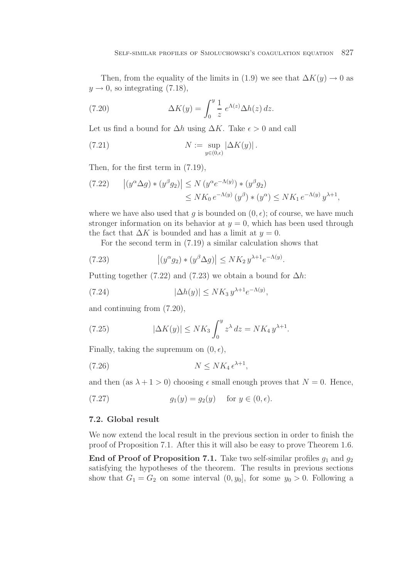Then, from the equality of the limits in (1.9) we see that  $\Delta K(y) \rightarrow 0$  as  $y \rightarrow 0$ , so integrating (7.18),

(7.20) 
$$
\Delta K(y) = \int_0^y \frac{1}{z} e^{\Lambda(z)} \Delta h(z) dz.
$$

Let us find a bound for  $\Delta h$  using  $\Delta K$ . Take  $\epsilon > 0$  and call

(7.21) 
$$
N := \sup_{y \in (0,\epsilon)} |\Delta K(y)|.
$$

Then, for the first term in (7.19),

$$
(7.22) \qquad |(y^{\alpha}\Delta g) * (y^{\beta}g_2)| \le N (y^{\alpha}e^{-\Lambda(y)}) * (y^{\beta}g_2)
$$
  

$$
\le NK_0 e^{-\Lambda(y)} (y^{\beta}) * (y^{\alpha}) \le NK_1 e^{-\Lambda(y)} y^{\lambda+1},
$$

where we have also used that g is bounded on  $(0, \epsilon)$ ; of course, we have much stronger information on its behavior at  $y = 0$ , which has been used through the fact that  $\Delta K$  is bounded and has a limit at  $y = 0$ .

For the second term in (7.19) a similar calculation shows that

(7.23) 
$$
\left| (y^{\alpha} g_2) * (y^{\beta} \Delta g) \right| \le N K_2 y^{\lambda + 1} e^{-\Lambda(y)}.
$$

Putting together (7.22) and (7.23) we obtain a bound for  $\Delta h$ :

$$
(7.24) \qquad |\Delta h(y)| \le N K_3 y^{\lambda+1} e^{-\Lambda(y)},
$$

and continuing from (7.20),

(7.25) 
$$
|\Delta K(y)| \le N K_3 \int_0^y z^{\lambda} dz = N K_4 y^{\lambda+1}.
$$

Finally, taking the supremum on  $(0, \epsilon)$ ,

$$
(7.26)\t\t\t\t N \le NK_4 \,\epsilon^{\lambda+1},
$$

and then (as  $\lambda + 1 > 0$ ) choosing  $\epsilon$  small enough proves that  $N = 0$ . Hence,

(7.27) 
$$
g_1(y) = g_2(y)
$$
 for  $y \in (0, \epsilon)$ .

## **7.2. Global result**

We now extend the local result in the previous section in order to finish the proof of Proposition 7.1. After this it will also be easy to prove Theorem 1.6.

**End of Proof of Proposition 7.1.** Take two self-similar profiles  $q_1$  and  $q_2$ satisfying the hypotheses of the theorem. The results in previous sections show that  $G_1 = G_2$  on some interval  $(0, y_0]$ , for some  $y_0 > 0$ . Following a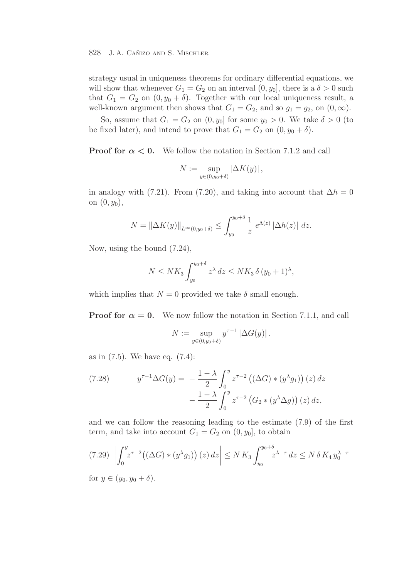strategy usual in uniqueness theorems for ordinary differential equations, we will show that whenever  $G_1 = G_2$  on an interval  $(0, y_0]$ , there is a  $\delta > 0$  such that  $G_1 = G_2$  on  $(0, y_0 + \delta)$ . Together with our local uniqueness result, a well-known argument then shows that  $G_1 = G_2$ , and so  $g_1 = g_2$ , on  $(0, \infty)$ .

So, assume that  $G_1 = G_2$  on  $(0, y_0]$  for some  $y_0 > 0$ . We take  $\delta > 0$  (to be fixed later), and intend to prove that  $G_1 = G_2$  on  $(0, y_0 + \delta)$ .

**Proof for**  $\alpha < 0$ . We follow the notation in Section 7.1.2 and call

$$
N := \sup_{y \in (0, y_0 + \delta)} |\Delta K(y)|,
$$

in analogy with (7.21). From (7.20), and taking into account that  $\Delta h = 0$ on  $(0, y_0)$ ,

$$
N = \|\Delta K(y)\|_{L^{\infty}(0,y_0+\delta)} \le \int_{y_0}^{y_0+\delta} \frac{1}{z} e^{\Lambda(z)} |\Delta h(z)| \ dz.
$$

Now, using the bound (7.24),

$$
N \le N K_3 \int_{y_0}^{y_0+\delta} z^{\lambda} dz \le N K_3 \delta (y_0+1)^{\lambda},
$$

which implies that  $N = 0$  provided we take  $\delta$  small enough.

**Proof for**  $\alpha = 0$ . We now follow the notation in Section 7.1.1, and call

$$
N := \sup_{y \in (0, y_0 + \delta)} y^{\tau - 1} |\Delta G(y)|.
$$

as in (7.5). We have eq. (7.4):

(7.28) 
$$
y^{\tau-1} \Delta G(y) = -\frac{1-\lambda}{2} \int_0^y z^{\tau-2} \left( (\Delta G) * (y^{\lambda} g_1) \right)(z) dz - \frac{1-\lambda}{2} \int_0^y z^{\tau-2} \left( G_2 * (y^{\lambda} \Delta g) \right)(z) dz,
$$

and we can follow the reasoning leading to the estimate (7.9) of the first term, and take into account  $G_1 = G_2$  on  $(0, y_0]$ , to obtain

$$
(7.29) \left| \int_0^y z^{\tau-2} \left( (\Delta G) * (y^\lambda g_1) \right)(z) dz \right| \le N K_3 \int_{y_0}^{y_0 + \delta} z^{\lambda - \tau} dz \le N \delta K_4 y_0^{\lambda - \tau}
$$
  
for  $y \in (y_0, y_0 + \delta)$ 

for  $y \in (y_0, y_0 + \delta)$ .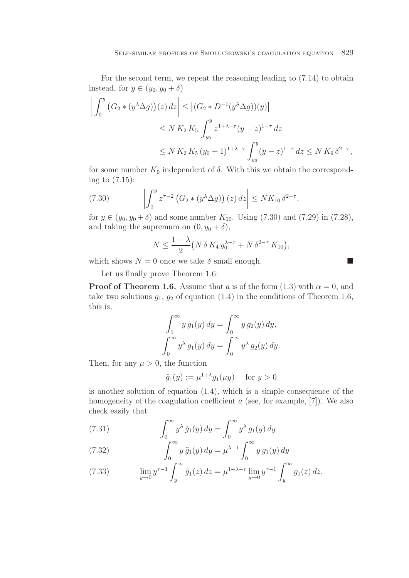For the second term, we repeat the reasoning leading to (7.14) to obtain instead, for  $y \in (y_0, y_0 + \delta)$ 

$$
\left| \int_0^y (G_2 * (y^{\lambda} \Delta g))(z) dz \right| \le |(G_2 * D^{-1}(y^{\lambda} \Delta g))(y)|
$$
  
\n
$$
\le N K_2 K_5 \int_{y_0}^y z^{1+\lambda-\tau} (y-z)^{1-\tau} dz
$$
  
\n
$$
\le N K_2 K_5 (y_0+1)^{1+\lambda-\tau} \int_{y_0}^y (y-z)^{1-\tau} dz \le N K_9 \delta^{2-\tau},
$$

for some number  $K_9$  independent of  $\delta$ . With this we obtain the corresponding to (7.15):

(7.30) 
$$
\left| \int_0^y z^{\tau-2} \left( G_2 * (y^{\lambda} \Delta g) \right)(z) dz \right| \le N K_{10} \delta^{2-\tau},
$$

for  $y \in (y_0, y_0 + \delta)$  and some number  $K_{10}$ . Using (7.30) and (7.29) in (7.28), and taking the supremum on  $(0, y_0 + \delta)$ ,

$$
N \le \frac{1-\lambda}{2} \big( N \, \delta \, K_4 \, y_0^{\lambda-\tau} + N \, \delta^{2-\tau} \, K_{10} \big),
$$

which shows  $N = 0$  once we take  $\delta$  small enough.

Let us finally prove Theorem 1.6:

**Proof of Theorem 1.6.** Assume that a is of the form  $(1.3)$  with  $\alpha = 0$ , and take two solutions  $g_1, g_2$  of equation (1.4) in the conditions of Theorem 1.6, this is,

$$
\int_0^\infty y g_1(y) dy = \int_0^\infty y g_2(y) dy,
$$

$$
\int_0^\infty y^\lambda g_1(y) dy = \int_0^\infty y^\lambda g_2(y) dy.
$$

Then, for any  $\mu > 0$ , the function

$$
\tilde{g}_1(y) := \mu^{1+\lambda} g_1(\mu y) \quad \text{ for } y > 0
$$

is another solution of equation (1.4), which is a simple consequence of the homogeneity of the coagulation coefficient  $a$  (see, for example, [7]). We also check easily that

(7.31) 
$$
\int_0^\infty y^\lambda \tilde{g}_1(y) dy = \int_0^\infty y^\lambda g_1(y) dy
$$

(7.32) 
$$
\int_0^\infty y \, \tilde{g}_1(y) \, dy = \mu^{\lambda - 1} \int_0^\infty y \, g_1(y) \, dy
$$

(7.33) 
$$
\lim_{y \to 0} y^{\tau - 1} \int_y^{\infty} \tilde{g}_1(z) dz = \mu^{1 + \lambda - \tau} \lim_{y \to 0} y^{\tau - 1} \int_y^{\infty} g_1(z) dz,
$$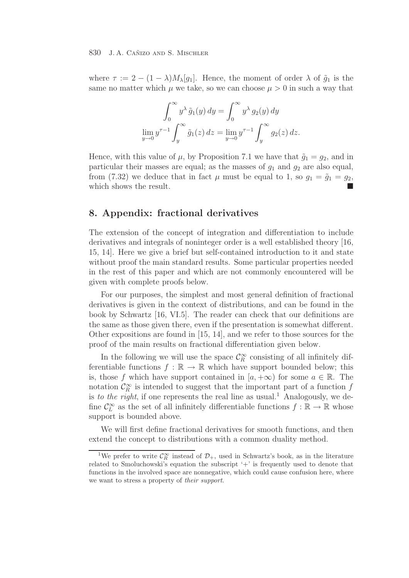where  $\tau := 2 - (1 - \lambda) M_{\lambda}[g_1]$ . Hence, the moment of order  $\lambda$  of  $\tilde{g}_1$  is the same no matter which  $\mu$  we take, so we can choose  $\mu > 0$  in such a way that

$$
\int_0^\infty y^\lambda \tilde{g}_1(y) dy = \int_0^\infty y^\lambda g_2(y) dy
$$
  

$$
\lim_{y \to 0} y^{\tau - 1} \int_y^\infty \tilde{g}_1(z) dz = \lim_{y \to 0} y^{\tau - 1} \int_y^\infty g_2(z) dz.
$$

Hence, with this value of  $\mu$ , by Proposition 7.1 we have that  $\tilde{g}_1 = g_2$ , and in particular their masses are equal; as the masses of  $g_1$  and  $g_2$  are also equal, from (7.32) we deduce that in fact  $\mu$  must be equal to 1, so  $g_1 = \tilde{g}_1 = g_2$ , which shows the result.

## **8. Appendix: fractional derivatives**

The extension of the concept of integration and differentiation to include derivatives and integrals of noninteger order is a well established theory [16, 15, 14]. Here we give a brief but self-contained introduction to it and state without proof the main standard results. Some particular properties needed in the rest of this paper and which are not commonly encountered will be given with complete proofs below.

For our purposes, the simplest and most general definition of fractional derivatives is given in the context of distributions, and can be found in the book by Schwartz [16, VI.5]. The reader can check that our definitions are the same as those given there, even if the presentation is somewhat different. Other expositions are found in [15, 14], and we refer to those sources for the proof of the main results on fractional differentiation given below.

In the following we will use the space  $\mathcal{C}_{R}^{\infty}$  consisting of all infinitely dif-<br>intiable functions  $f : \mathbb{R} \to \mathbb{R}$  which have support bounded below: this ferentiable functions  $f : \mathbb{R} \to \mathbb{R}$  which have support bounded below; this is, those f which have support contained in  $[a, +\infty)$  for some  $a \in \mathbb{R}$ . The notation  $\mathcal{C}_{R}^{\infty}$  is intended to suggest that the important part of a function f<br>is to the right if one represents the real line of usual <sup>1</sup>. Analogously we do is to the right, if one represents the real line as usual.<sup>1</sup> Analogously, we define  $\mathcal{C}_L^{\infty}$  as the set of all infinitely differentiable functions  $f : \mathbb{R} \to \mathbb{R}$  whose support is bounded above.

We will first define fractional derivatives for smooth functions, and then extend the concept to distributions with a common duality method.

<sup>&</sup>lt;sup>1</sup>We prefer to write  $\mathcal{C}_R^{\infty}$  instead of  $\mathcal{D}_+$ , used in Schwartz's book, as in the literature related to Smoluchowski's equation the subscript '+' is frequently used to denote that functions in the involved space are nonnegative, which could cause confusion here, where we want to stress a property of *their support*.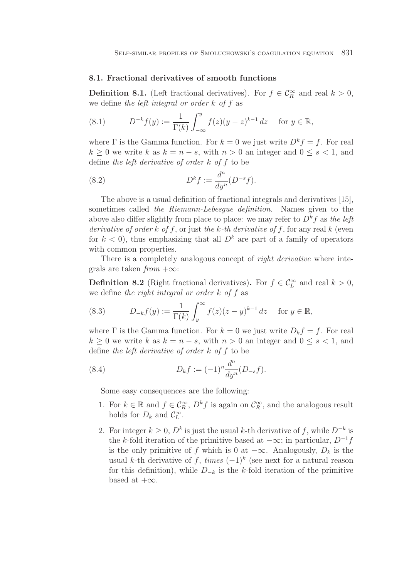### **8.1. Fractional derivatives of smooth functions**

**Definition 8.1.** (Left fractional derivatives). For  $f \in C_R^{\infty}$  and real  $k > 0$ , we define the left integral or order  $k$  of  $f$  as

(8.1) 
$$
D^{-k}f(y) := \frac{1}{\Gamma(k)} \int_{-\infty}^{y} f(z)(y - z)^{k-1} dz \text{ for } y \in \mathbb{R},
$$

where  $\Gamma$  is the Gamma function. For  $k = 0$  we just write  $D^k f = f$ . For real  $k \geq 0$  we write k as  $k = n - s$ , with  $n > 0$  an integer and  $0 \leq s < 1$ , and define the left derivative of order k of f to be

(8.2) 
$$
D^k f := \frac{d^n}{dy^n} (D^{-s} f).
$$

The above is a usual definition of fractional integrals and derivatives [15], sometimes called the Riemann-Lebesgue definition. Names given to the above also differ slightly from place to place: we may refer to  $D^k f$  as the left derivative of order k of f, or just the k-th derivative of f, for any real  $k$  (even for  $k < 0$ , thus emphasizing that all  $D<sup>k</sup>$  are part of a family of operators with common properties.

There is a completely analogous concept of *right derivative* where integrals are taken  $from +\infty$ :

**Definition 8.2** (Right fractional derivatives). For  $f \in C_L^{\infty}$  and real  $k > 0$ , we define the right integral or order  $k$  of  $f$  as

(8.3) 
$$
D_{-k}f(y) := \frac{1}{\Gamma(k)} \int_y^{\infty} f(z)(z-y)^{k-1} dz \quad \text{for } y \in \mathbb{R},
$$

where  $\Gamma$  is the Gamma function. For  $k = 0$  we just write  $D_k f = f$ . For real  $k > 0$  we write k as  $k = n - s$ , with  $n > 0$  an integer and  $0 \leq s < 1$ , and define the left derivative of order k of f to be

(8.4) 
$$
D_k f := (-1)^n \frac{d^n}{dy^n} (D_{-s} f).
$$

Some easy consequences are the following:

- 1. For  $k \in \mathbb{R}$  and  $f \in C_R^{\infty}$ ,  $D^k f$  is again on  $C_R^{\infty}$ , and the analogous result holds for  $D$  and  $C^{\infty}$ holds for  $D_k$  and  $\mathcal{C}_L^{\infty}$ .
- 2. For integer  $k \geq 0$ ,  $D^k$  is just the usual k-th derivative of f, while  $D^{-k}$  is the k-fold iteration of the primitive based at  $-\infty$ ; in particular,  $D^{-1}f$ is the only primitive of f which is 0 at  $-\infty$ . Analogously,  $D_k$  is the usual k-th derivative of f, times  $(-1)^k$  (see next for a natural reason for this definition), while  $D_{-k}$  is the k-fold iteration of the primitive based at  $+\infty$ .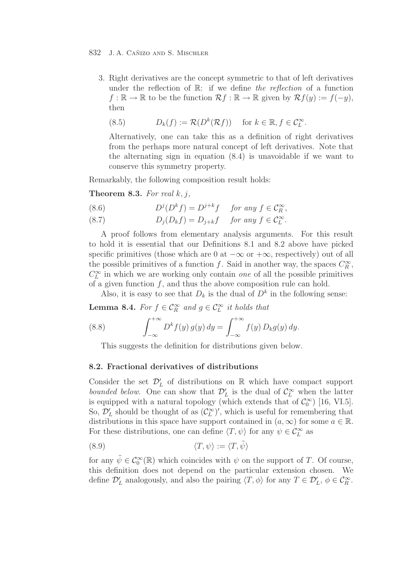3. Right derivatives are the concept symmetric to that of left derivatives under the reflection of  $\mathbb{R}$ : if we define the reflection of a function  $f : \mathbb{R} \to \mathbb{R}$  to be the function  $\mathcal{R}f : \mathbb{R} \to \mathbb{R}$  given by  $\mathcal{R}f(y) := f(-y)$ , then

(8.5) 
$$
D_k(f) := \mathcal{R}(D^k(\mathcal{R}f)) \quad \text{for } k \in \mathbb{R}, f \in \mathcal{C}_L^{\infty}.
$$

Alternatively, one can take this as a definition of right derivatives from the perhaps more natural concept of left derivatives. Note that the alternating sign in equation (8.4) is unavoidable if we want to conserve this symmetry property.

Remarkably, the following composition result holds:

**Theorem 8.3.** For real  $k, j$ ,

(8.6) 
$$
D^{j}(D^{k}f) = D^{j+k}f \quad \text{for any } f \in \mathcal{C}^{\infty}_{R},
$$

(8.7) 
$$
D_j(D_k f) = D_{j+k} f \quad \text{for any } f \in C_L^{\infty}.
$$

A proof follows from elementary analysis arguments. For this result to hold it is essential that our Definitions 8.1 and 8.2 above have picked specific primitives (those which are 0 at  $-\infty$  or  $+\infty$ , respectively) out of all the possible primitives of a function f. Said in another way, the spaces  $C_R^{\infty}$ ,  $C^{\infty}$  in which we are working only contain and of all the possible primitives  $C_L^{\infty}$  in which we are working only contain *one* of all the possible primitives of a given function f, and thus the above composition rule can hold of a given function  $f$ , and thus the above composition rule can hold.

Also, it is easy to see that  $D_k$  is the dual of  $D^k$  in the following sense:

**Lemma 8.4.** For  $f \in C_R^{\infty}$  and  $g \in C_L^{\infty}$  it holds that

(8.8) 
$$
\int_{-\infty}^{+\infty} D^k f(y) g(y) dy = \int_{-\infty}^{+\infty} f(y) D_k g(y) dy.
$$

This suggests the definition for distributions given below.

## **8.2. Fractional derivatives of distributions**

Consider the set  $\mathcal{D}'_L$  of distributions on R which have compact support have due to  $\mathcal{D}'_L$  or  $\mathcal{D}'_L$  is the duel of  $\mathcal{C}^{\infty}$  when the letter bounded below. One can show that  $\mathcal{D}'_L$  is the dual of  $\mathcal{C}^\infty$  when the latter<br>is equipped with a natural topology (which extends that of  $\mathcal{C}^\infty$ ) [16, VI 5] is equipped with a natural topology (which extends that of  $\mathcal{C}_0^{\infty}$ ) [16, VI.5]. So,  $\mathcal{D}'_L$  should be thought of as  $(\mathcal{C}^\infty_L)'$ , which is useful for remembering that distributions in this space have support contained in  $(a,\infty)$  for some  $a \in \mathbb{R}$ distributions in this space have support contained in  $(a, \infty)$  for some  $a \in \mathbb{R}$ . For these distributions, one can define  $\langle T, \psi \rangle$  for any  $\psi \in C_L^{\infty}$  as

$$
\langle T, \psi \rangle := \langle T, \tilde{\psi} \rangle
$$

for any  $\tilde{\psi} \in C_0^{\infty}(\mathbb{R})$  which coincides with  $\psi$  on the support of T. Of course, this definition does not depend on the particular extension chosen. We define  $\mathcal{D}'_L$  analogously, and also the pairing  $\langle T, \phi \rangle$  for any  $T \in \mathcal{D}'_L$ ,  $\phi \in \mathcal{C}_R^{\infty}$ .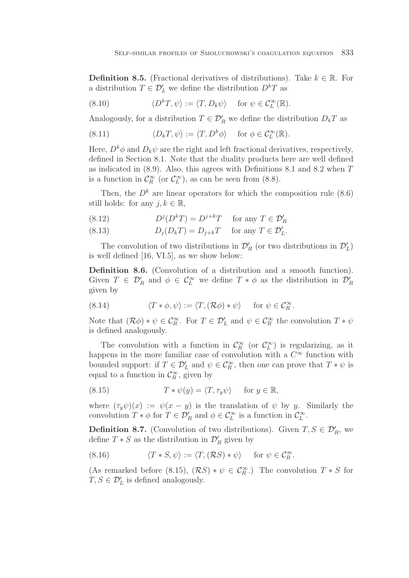**Definition 8.5.** (Fractional derivatives of distributions). Take  $k \in \mathbb{R}$ . For a distribution  $T \in \mathcal{D}'_L$  we define the distribution  $D^kT$  as

(8.10) 
$$
\langle D^k T, \psi \rangle := \langle T, D_k \psi \rangle \quad \text{for } \psi \in C_L^{\infty}(\mathbb{R}).
$$

Analogously, for a distribution  $T \in \mathcal{D}_R'$  we define the distribution  $D_k T$  as

(8.11) 
$$
\langle D_k T, \psi \rangle := \langle T, D^k \phi \rangle \quad \text{for } \phi \in C_L^{\infty}(\mathbb{R}).
$$

Here,  $D^k \phi$  and  $D_k \psi$  are the right and left fractional derivatives, respectively, defined in Section 8.1. Note that the duality products here are well defined as indicated in (8.9). Also, this agrees with Definitions 8.1 and 8.2 when T is a function in  $\mathcal{C}_R^{\infty}$  (or  $\mathcal{C}_L^{\infty}$ ), as can be seen from (8.8).

Then, the  $D^k$  are linear operators for which the composition rule (8.6) still holds: for any  $j, k \in \mathbb{R}$ ,

(8.12) 
$$
D^{j}(D^{k}T) = D^{j+k}T \quad \text{for any } T \in \mathcal{D}'_{R}
$$

(8.13) 
$$
D_j(D_kT) = D_{j+k}T \quad \text{for any } T \in \mathcal{D}'_L.
$$

The convolution of two distributions in  $\mathcal{D}'_R$  (or two distributions in  $\mathcal{D}'_L$ )<br>relations 116, VL5, as we show helow: is well defined [16, VI.5], as we show below:

**Definition 8.6.** (Convolution of a distribution and a smooth function). Given  $T \in \mathcal{D}_R'$  and  $\phi \in \mathcal{C}_L^{\infty}$  we define  $T * \phi$  as the distribution in  $\mathcal{D}_L'$ given by

(8.14) 
$$
\langle T * \phi, \psi \rangle := \langle T, (\mathcal{R}\phi) * \psi \rangle \quad \text{for } \psi \in \mathcal{C}_R^{\infty}.
$$

Note that  $(\mathcal{R}\phi) * \psi \in \mathcal{C}_R^{\infty}$ . For  $T \in \mathcal{D}'_L$  and  $\psi \in \mathcal{C}_R^{\infty}$  the convolution  $T * \psi$ is defined analogously.

The convolution with a function in  $\mathcal{C}_{R}^{\infty}$  (or  $\mathcal{C}_{L}^{\infty}$ ) is regularizing, as it<br>poops in the more familiar case of convolution with a  $\mathcal{C}^{\infty}$  function with happens in the more familiar case of convolution with a  $C^{\infty}$  function with bounded support: if  $T \in \mathcal{D}'_L$  and  $\psi \in \mathcal{C}^\infty_R$ , then one can prove that  $T * \psi$  is equal to a function in  $\mathcal{C}_R^{\infty}$ , given by

(8.15) 
$$
T * \psi(y) = \langle T, \tau_y \psi \rangle \quad \text{for } y \in \mathbb{R},
$$

where  $(\tau_y \psi)(x) := \psi(x - y)$  is the translation of  $\psi$  by y. Similarly the convolution  $T * \phi$  for  $T \in \mathcal{D}_R'$  and  $\phi \in \mathcal{C}_L^{\infty}$  is a function in  $\mathcal{C}_L^{\infty}$ .

**Definition 8.7.** (Convolution of two distributions). Given  $T, S \in \mathcal{D}'_R$ , we define  $T * S$  as the distribution in  $\mathcal{D}'$  given by define  $T * S$  as the distribution in  $\mathcal{D}'_R$  given by

(8.16) 
$$
\langle T * S, \psi \rangle := \langle T, (\mathcal{R}S) * \psi \rangle \quad \text{for } \psi \in \mathcal{C}_R^{\infty}.
$$

(As remarked before (8.15),  $(RS) * \psi \in C_R^{\infty}$ .) The convolution  $T * S$  for  $T S \subset T'$  is defined analogously  $T, S \in \mathcal{D}'_L$  is defined analogously.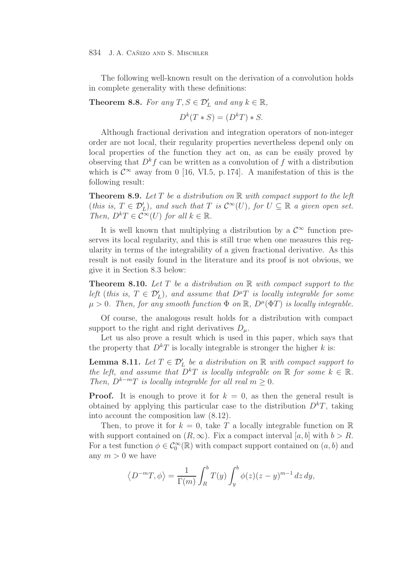The following well-known result on the derivation of a convolution holds in complete generality with these definitions:

**Theorem 8.8.** For any  $T, S \in \mathcal{D}'_L$  and any  $k \in \mathbb{R}$ ,

$$
D^k(T * S) = (D^kT) * S.
$$

Although fractional derivation and integration operators of non-integer order are not local, their regularity properties nevertheless depend only on local properties of the function they act on, as can be easily proved by observing that  $D^k f$  can be written as a convolution of f with a distribution which is  $\mathcal{C}^{\infty}$  away from 0 [16, VI.5, p. 174]. A manifestation of this is the following result:

**Theorem 8.9.** Let  $T$  be a distribution on  $\mathbb{R}$  with compact support to the left (this is,  $T \in \mathcal{D}'_L$ ), and such that  $T$  is  $\mathcal{C}^{\infty}(U)$ , for  $U \subseteq \mathbb{R}$  a given open set.<br>Then  $D^kT \in \mathcal{C}^{\infty}(U)$  for all  $k \in \mathbb{R}$ Then,  $D^kT \in C^{\infty}(U)$  for all  $k \in \mathbb{R}$ .

It is well known that multiplying a distribution by a  $\mathcal{C}^{\infty}$  function preserves its local regularity, and this is still true when one measures this regularity in terms of the integrability of a given fractional derivative. As this result is not easily found in the literature and its proof is not obvious, we give it in Section 8.3 below:

**Theorem 8.10.** Let  $T$  be a distribution on  $\mathbb{R}$  with compact support to the left (this is,  $T \in \mathcal{D}'_L$ ), and assume that  $D^{\mu}T$  is locally integrable for some  $\mu > 0$ . Then, for any empath function  $\Phi$  on  $\mathbb{P}_L D^{\mu}(\Phi T)$  is locally integrable.  $\mu > 0$ . Then, for any smooth function  $\Phi$  on  $\mathbb{R}$ ,  $D^{\mu}(\Phi T)$  is locally integrable.

Of course, the analogous result holds for a distribution with compact support to the right and right derivatives  $D_{\mu}$ .

Let us also prove a result which is used in this paper, which says that the property that  $D^kT$  is locally integrable is stronger the higher k is:

**Lemma 8.11.** Let  $T \in \mathcal{D}'_L$  be a distribution on R with compact support to the left and assume that  $D^kT$  is locally integrable on  $\mathbb{P}$  for some  $k \in \mathbb{P}$ the left, and assume that  $D^kT$  is locally integrable on  $\mathbb R$  for some  $k \in \mathbb R$ . Then,  $D^{k-m}T$  is locally integrable for all real  $m \geq 0$ .

**Proof.** It is enough to prove it for  $k = 0$ , as then the general result is obtained by applying this particular case to the distribution  $D<sup>k</sup>T$ , taking into account the composition law (8.12).

Then, to prove it for  $k = 0$ , take T a locally integrable function on R with support contained on  $(R, \infty)$ . Fix a compact interval  $[a, b]$  with  $b > R$ . For a test function  $\phi \in C_0^{\infty}(\mathbb{R})$  with compact support contained on  $(a, b)$  and any  $m > 0$  we have

$$
\left\langle D^{-m}T,\phi\right\rangle = \frac{1}{\Gamma(m)}\int_{R}^{b}T(y)\int_{y}^{b}\phi(z)(z-y)^{m-1}dz\,dy,
$$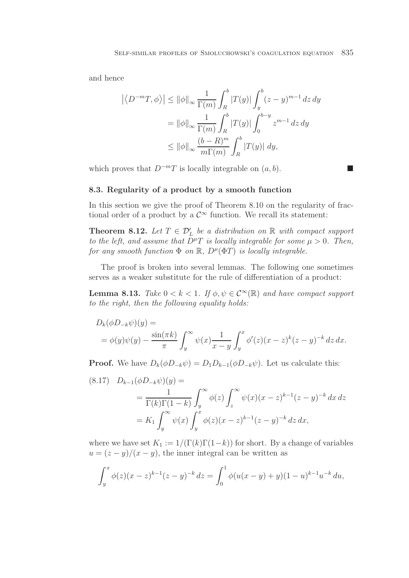and hence

$$
\left| \langle D^{-m}T, \phi \rangle \right| \leq ||\phi||_{\infty} \frac{1}{\Gamma(m)} \int_{R}^{b} |T(y)| \int_{y}^{b} (z - y)^{m-1} dz dy
$$
  

$$
= ||\phi||_{\infty} \frac{1}{\Gamma(m)} \int_{R}^{b} |T(y)| \int_{0}^{b-y} z^{m-1} dz dy
$$
  

$$
\leq ||\phi||_{\infty} \frac{(b - R)^{m}}{m\Gamma(m)} \int_{R}^{b} |T(y)| dy,
$$

which proves that  $D^{-m}T$  is locally integrable on  $(a, b)$ .

### **8.3. Regularity of a product by a smooth function**

In this section we give the proof of Theorem 8.10 on the regularity of fractional order of a product by a  $\mathcal{C}^{\infty}$  function. We recall its statement:

 $\Box$ 

**Theorem 8.12.** Let  $T \in \mathcal{D}'_L$  be a distribution on R with compact support to the left and assume that  $D^{\mu}T$  is locally integrable for some  $\mu > 0$ . Then to the left, and assume that  $D^{\mu}T$  is locally integrable for some  $\mu > 0$ . Then, for any smooth function  $\Phi$  on  $\mathbb{R}$ ,  $D^{\mu}(\Phi T)$  is locally integrable.

The proof is broken into several lemmas. The following one sometimes serves as a weaker substitute for the rule of differentiation of a product:

**Lemma 8.13.** Take  $0 < k < 1$ . If  $\phi, \psi \in C^{\infty}(\mathbb{R})$  and have compact support to the right, then the following equality holds:

$$
D_k(\phi D_{-k}\psi)(y) =
$$
  
=  $\phi(y)\psi(y) - \frac{\sin(\pi k)}{\pi} \int_y^{\infty} \psi(x) \frac{1}{x-y} \int_y^x \phi'(z)(x-z)^k (z-y)^{-k} dz dx.$ 

**Proof.** We have  $D_k(\phi D_{-k}\psi) = D_1D_{k-1}(\phi D_{-k}\psi)$ . Let us calculate this:

$$
(8.17) \quad D_{k-1}(\phi D_{-k}\psi)(y) =
$$
  
= 
$$
\frac{1}{\Gamma(k)\Gamma(1-k)} \int_y^\infty \phi(z) \int_z^\infty \psi(x)(x-z)^{k-1}(z-y)^{-k} dx dz
$$
  
= 
$$
K_1 \int_y^\infty \psi(x) \int_y^x \phi(z)(x-z)^{k-1}(z-y)^{-k} dz dx,
$$

where we have set  $K_1 := 1/(\Gamma(k)\Gamma(1-k))$  for short. By a change of variables  $u = (z - y)/(x - y)$ , the inner integral can be written as

$$
\int_{y}^{x} \phi(z)(x-z)^{k-1}(z-y)^{-k} dz = \int_{0}^{1} \phi(u(x-y) + y)(1-u)^{k-1}u^{-k} du,
$$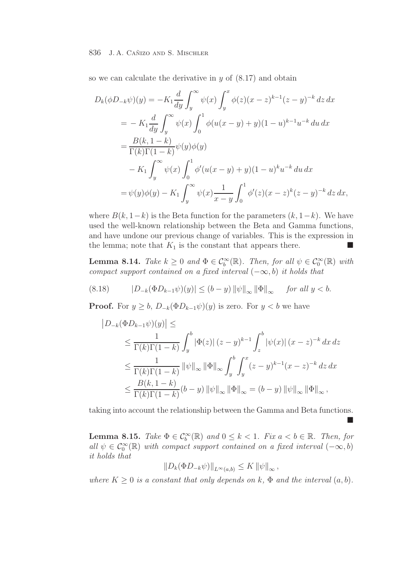so we can calculate the derivative in  $y$  of  $(8.17)$  and obtain

$$
D_k(\phi D_{-k}\psi)(y) = -K_1 \frac{d}{dy} \int_y^{\infty} \psi(x) \int_y^x \phi(z)(x-z)^{k-1} (z-y)^{-k} dz dx
$$
  
=  $-K_1 \frac{d}{dy} \int_y^{\infty} \psi(x) \int_0^1 \phi(u(x-y) + y)(1-u)^{k-1} u^{-k} du dx$   
=  $\frac{B(k, 1-k)}{\Gamma(k)\Gamma(1-k)} \psi(y)\phi(y)$   
 $-K_1 \int_y^{\infty} \psi(x) \int_0^1 \phi'(u(x-y) + y)(1-u)^k u^{-k} du dx$   
=  $\psi(y)\phi(y) - K_1 \int_y^{\infty} \psi(x) \frac{1}{x-y} \int_0^1 \phi'(z)(x-z)^k (z-y)^{-k} dz dx$ ,

where  $B(k, 1-k)$  is the Beta function for the parameters  $(k, 1-k)$ . We have used the well-known relationship between the Beta and Gamma functions, and have undone our previous change of variables. This is the expression in the lemma; note that  $K_1$  is the constant that appears there.

**Lemma 8.14.** Take  $k \geq 0$  and  $\Phi \in C_b^{\infty}(\mathbb{R})$ . Then, for all  $\psi \in C_0^{\infty}(\mathbb{R})$  with compact contained on a fixed interval  $(\infty, b)$  it holds that compact support contained on a fixed interval  $(-\infty, b)$  it holds that

(8.18) 
$$
|D_{-k}(\Phi D_{k-1}\psi)(y)| \le (b-y) ||\psi||_{\infty} ||\Phi||_{\infty} \quad \text{for all } y < b.
$$

**Proof.** For  $y \ge b$ ,  $D_{-k}(\Phi D_{k-1}\psi)(y)$  is zero. For  $y < b$  we have

$$
\begin{split} \left| D_{-k}(\Phi D_{k-1}\psi)(y) \right| &\leq \\ &\leq \frac{1}{\Gamma(k)\Gamma(1-k)} \int_{y}^{b} |\Phi(z)| (z-y)^{k-1} \int_{z}^{b} |\psi(x)| (x-z)^{-k} dx dz \\ &\leq \frac{1}{\Gamma(k)\Gamma(1-k)} \|\psi\|_{\infty} \|\Phi\|_{\infty} \int_{y}^{b} \int_{y}^{x} (z-y)^{k-1} (x-z)^{-k} dz dx \\ &\leq \frac{B(k, 1-k)}{\Gamma(k)\Gamma(1-k)} (b-y) \|\psi\|_{\infty} \|\Phi\|_{\infty} = (b-y) \|\psi\|_{\infty} \|\Phi\|_{\infty}, \end{split}
$$

taking into account the relationship between the Gamma and Beta functions.

-

**Lemma 8.15.** Take  $\Phi \in C_b^{\infty}(\mathbb{R})$  and  $0 \le k < 1$ . Fix  $a < b \in \mathbb{R}$ . Then, for all sh  $\subset C^{\infty}(\mathbb{R})$  with general expressed contained on a fixed interval (e.g. b) all  $\psi \in \mathcal{C}_0^{\infty}(\mathbb{R})$  with compact support contained on a fixed interval  $(-\infty, b)$ it holds that

$$
||D_k(\Phi D_{-k}\psi)||_{L^{\infty}(a,b)} \leq K ||\psi||_{\infty},
$$

where  $K \geq 0$  is a constant that only depends on k,  $\Phi$  and the interval  $(a, b)$ .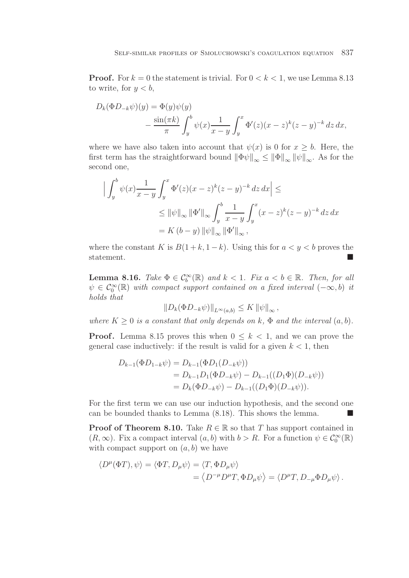**Proof.** For  $k = 0$  the statement is trivial. For  $0 < k < 1$ , we use Lemma 8.13 to write, for  $y < b$ ,

$$
D_k(\Phi D_{-k}\psi)(y) = \Phi(y)\psi(y)
$$
  
 
$$
- \frac{\sin(\pi k)}{\pi} \int_y^b \psi(x) \frac{1}{x - y} \int_y^x \Phi'(z) (x - z)^k (z - y)^{-k} dz dx,
$$

where we have also taken into account that  $\psi(x)$  is 0 for  $x > b$ . Here, the first term has the straightforward bound  $\|\Phi\psi\|_{\infty} \leq \|\Phi\|_{\infty} \|\psi\|_{\infty}$ . As for the second one,

$$
\left| \int_{y}^{b} \psi(x) \frac{1}{x - y} \int_{y}^{x} \Phi'(z) (x - z)^{k} (z - y)^{-k} dz dx \right| \le
$$
  
\$\leq \| \psi \|\_{\infty} \| \Phi' \|\_{\infty} \int\_{y}^{b} \frac{1}{x - y} \int\_{y}^{x} (x - z)^{k} (z - y)^{-k} dz dx\$  
= K (b - y) \| \psi \|\_{\infty} \| \Phi' \|\_{\infty},

where the constant K is  $B(1+k, 1-k)$ . Using this for  $a < y < b$  proves the statement.  $\blacksquare$ 

**Lemma 8.16.** Take  $\Phi \in C_b^{\infty}(\mathbb{R})$  and  $k < 1$ . Fix  $a < b \in \mathbb{R}$ . Then, for all  $\phi \in C^{\infty}(\mathbb{R})$  with compact cunnert contained on a fixed interval  $(\infty, b)$  is  $\psi \in \mathcal{C}_0^{\infty}(\mathbb{R})$  with compact support contained on a fixed interval  $(-\infty, b)$  it holds that

$$
||D_k(\Phi D_{-k}\psi)||_{L^{\infty}(a,b)} \leq K ||\psi||_{\infty},
$$

where  $K \geq 0$  is a constant that only depends on k,  $\Phi$  and the interval  $(a, b)$ .

**Proof.** Lemma 8.15 proves this when  $0 \leq k < 1$ , and we can prove the general case inductively: if the result is valid for a given  $k < 1$ , then

$$
D_{k-1}(\Phi D_{1-k}\psi) = D_{k-1}(\Phi D_1(D_{-k}\psi))
$$
  
=  $D_{k-1}D_1(\Phi D_{-k}\psi) - D_{k-1}((D_1\Phi)(D_{-k}\psi))$   
=  $D_k(\Phi D_{-k}\psi) - D_{k-1}((D_1\Phi)(D_{-k}\psi)).$ 

For the first term we can use our induction hypothesis, and the second one can be bounded thanks to Lemma  $(8.18)$ . This shows the lemma.

**Proof of Theorem 8.10.** Take  $R \in \mathbb{R}$  so that T has support contained in  $(R, \infty)$ . Fix a compact interval  $(a, b)$  with  $b > R$ . For a function  $\psi \in C_0^{\infty}(\mathbb{R})$ with compact support on  $(a, b)$  we have

$$
\langle D^{\mu}(\Phi T), \psi \rangle = \langle \Phi T, D_{\mu} \psi \rangle = \langle T, \Phi D_{\mu} \psi \rangle
$$
  
= 
$$
\langle D^{-\mu} D^{\mu} T, \Phi D_{\mu} \psi \rangle = \langle D^{\mu} T, D_{-\mu} \Phi D_{\mu} \psi \rangle.
$$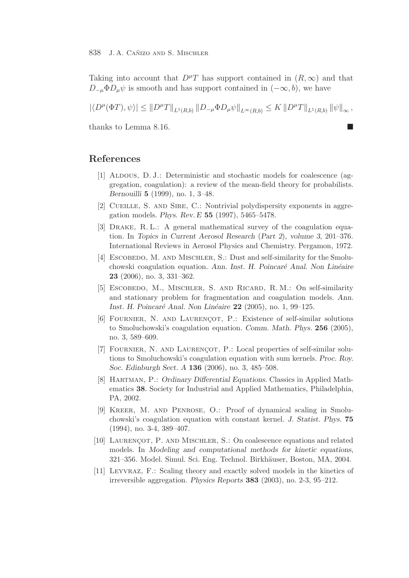Taking into account that  $D^{\mu}T$  has support contained in  $(R,\infty)$  and that  $D_{-\mu}\Phi D_{\mu}\psi$  is smooth and has support contained in  $(-\infty, b)$ , we have

 $|\langle D^{\mu}(\Phi T), \psi \rangle| \leq ||D^{\mu}T||_{L^{1}(R,b)} ||D_{-\mu}\Phi D_{\mu}\psi||_{L^{\infty}(R,b)} \leq K ||D^{\mu}T||_{L^{1}(R,b)} ||\psi||_{\infty},$ 

thanks to Lemma 8.16.

# **References**

- [1] ALDOUS, D. J.: Deterministic and stochastic models for coalescence (aggregation, coagulation): a review of the mean-field theory for probabilists. *Bernouilli* **5** (1999), no. 1, 3–48.
- [2] CUEILLE, S. AND SIRE, C.: Nontrivial polydispersity exponents in aggregation models. *Phys. Rev. E* **55** (1997), 5465–5478.
- [3] Drake, R. L.: A general mathematical survey of the coagulation equation. In *Topics in Current Aerosol Research* (*Part 2*)*, volume 3*, 201–376. International Reviews in Aerosol Physics and Chemistry. Pergamon, 1972.
- [4] ESCOBEDO, M. AND MISCHLER, S.: Dust and self-similarity for the Smoluchowski coagulation equation. *Ann. Inst. H. Poincaré Anal. Non Linéaire* **23** (2006), no. 3, 331–362.
- [5] Escobedo, M., Mischler, S. and Ricard, R. M.: On self-similarity and stationary problem for fragmentation and coagulation models. *Ann. Inst. H. Poincar´e Anal. Non Lin´eaire* **22** (2005), no. 1, 99–125.
- [6] FOURNIER, N. AND LAURENÇOT, P.: Existence of self-similar solutions to Smoluchowski's coagulation equation. *Comm. Math. Phys.* **256** (2005), no. 3, 589–609.
- [7] FOURNIER, N. AND LAURENÇOT, P.: Local properties of self-similar solutions to Smoluchowski's coagulation equation with sum kernels. *Proc. Roy. Soc. Edinburgh Sect. A* **136** (2006), no. 3, 485–508.
- [8] Hartman, P.: *Ordinary Differential Equations.* Classics in Applied Mathematics **38**. Society for Industrial and Applied Mathematics, Philadelphia, PA, 2002.
- [9] Kreer, M. and Penrose, O.: Proof of dynamical scaling in Smoluchowski's coagulation equation with constant kernel. *J. Statist. Phys.* **75** (1994), no. 3-4, 389–407.
- [10] LAURENCOT, P. AND MISCHLER, S.: On coalescence equations and related models. In *Modeling and computational methods for kinetic equations*, 321–356. Model. Simul. Sci. Eng. Technol. Birkh¨auser, Boston, MA, 2004.
- [11] Leyvraz, F.: Scaling theory and exactly solved models in the kinetics of irreversible aggregation. *Physics Reports* **383** (2003), no. 2-3, 95–212.